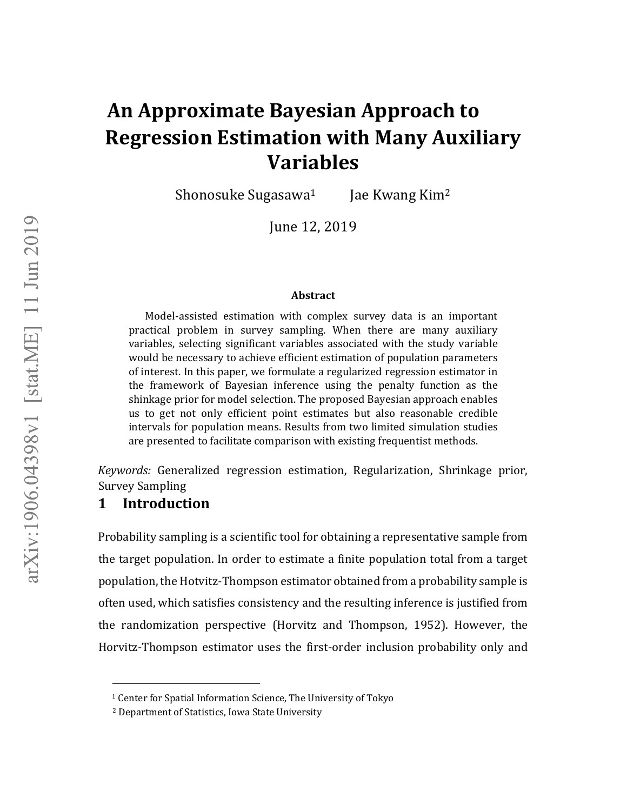# **An Approximate Bayesian Approach to Regression Estimation with Many Auxiliary Variables**

Shonosuke Sugasawa<sup>1</sup> Jae Kwang Kim<sup>2</sup>

June 12, 2019

#### **Abstract**

Model-assisted estimation with complex survey data is an important practical problem in survey sampling. When there are many auxiliary variables, selecting significant variables associated with the study variable would be necessary to achieve efficient estimation of population parameters of interest. In this paper, we formulate a regularized regression estimator in the framework of Bayesian inference using the penalty function as the shinkage prior for model selection. The proposed Bayesian approach enables us to get not only efficient point estimates but also reasonable credible intervals for population means. Results from two limited simulation studies are presented to facilitate comparison with existing frequentist methods.

*Keywords:* Generalized regression estimation, Regularization, Shrinkage prior, Survey Sampling

# **1 Introduction**

 $\overline{\phantom{a}}$ 

Probability sampling is a scientific tool for obtaining a representative sample from the target population. In order to estimate a finite population total from a target population, the Hotvitz-Thompson estimator obtained from a probability sample is often used, which satisfies consistency and the resulting inference is justified from the randomization perspective (Horvitz and Thompson, 1952). However, the Horvitz-Thompson estimator uses the first-order inclusion probability only and

<sup>1</sup> Center for Spatial Information Science, The University of Tokyo

<sup>2</sup> Department of Statistics, Iowa State University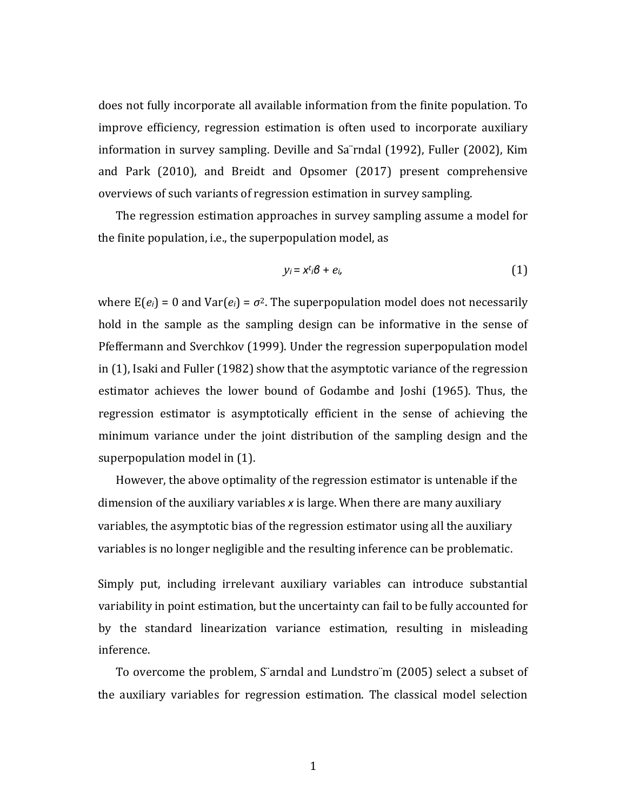does not fully incorporate all available information from the finite population. To improve efficiency, regression estimation is often used to incorporate auxiliary information in survey sampling. Deville and Sa¨rndal (1992), Fuller (2002), Kim and Park (2010), and Breidt and Opsomer (2017) present comprehensive overviews of such variants of regression estimation in survey sampling.

The regression estimation approaches in survey sampling assume a model for the finite population, i.e., the superpopulation model, as

$$
y_i = x^{t_i} \boldsymbol{\beta} + e_i, \qquad (1)
$$

where  $E(e_i) = 0$  and  $Var(e_i) = \sigma^2$ . The superpopulation model does not necessarily hold in the sample as the sampling design can be informative in the sense of Pfeffermann and Sverchkov (1999). Under the regression superpopulation model in (1), Isaki and Fuller (1982) show that the asymptotic variance of the regression estimator achieves the lower bound of Godambe and Joshi (1965). Thus, the regression estimator is asymptotically efficient in the sense of achieving the minimum variance under the joint distribution of the sampling design and the superpopulation model in (1).

However, the above optimality of the regression estimator is untenable if the dimension of the auxiliary variables *x* is large. When there are many auxiliary variables, the asymptotic bias of the regression estimator using all the auxiliary variables is no longer negligible and the resulting inference can be problematic.

Simply put, including irrelevant auxiliary variables can introduce substantial variability in point estimation, but the uncertainty can fail to be fully accounted for by the standard linearization variance estimation, resulting in misleading inference.

To overcome the problem, S¨arndal and Lundstro¨m (2005) select a subset of the auxiliary variables for regression estimation. The classical model selection

1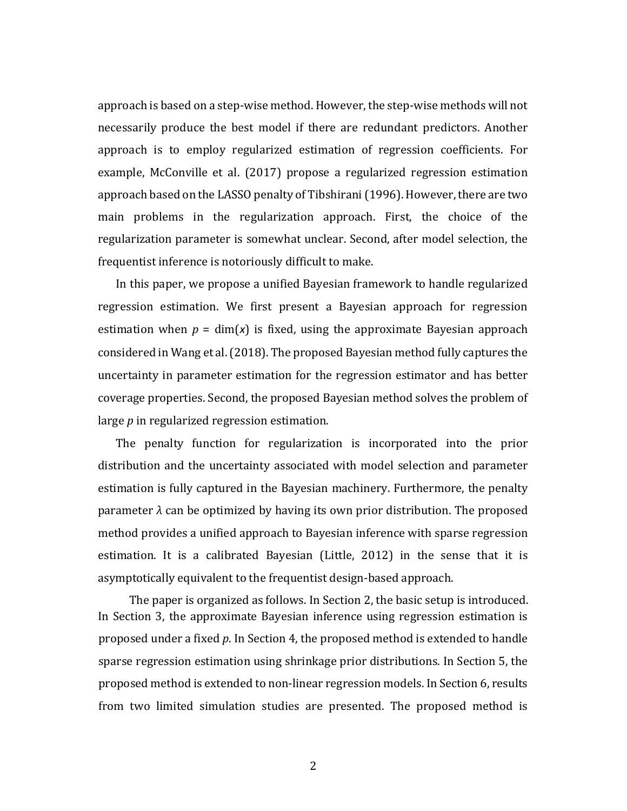approach is based on a step-wise method. However, the step-wise methods will not necessarily produce the best model if there are redundant predictors. Another approach is to employ regularized estimation of regression coefficients. For example, McConville et al. (2017) propose a regularized regression estimation approach based on the LASSO penalty of Tibshirani (1996). However, there are two main problems in the regularization approach. First, the choice of the regularization parameter is somewhat unclear. Second, after model selection, the frequentist inference is notoriously difficult to make.

In this paper, we propose a unified Bayesian framework to handle regularized regression estimation. We first present a Bayesian approach for regression estimation when  $p = \dim(x)$  is fixed, using the approximate Bayesian approach considered in Wang et al. (2018). The proposed Bayesian method fully captures the uncertainty in parameter estimation for the regression estimator and has better coverage properties. Second, the proposed Bayesian method solves the problem of large *p* in regularized regression estimation.

The penalty function for regularization is incorporated into the prior distribution and the uncertainty associated with model selection and parameter estimation is fully captured in the Bayesian machinery. Furthermore, the penalty parameter *λ* can be optimized by having its own prior distribution. The proposed method provides a unified approach to Bayesian inference with sparse regression estimation. It is a calibrated Bayesian (Little, 2012) in the sense that it is asymptotically equivalent to the frequentist design-based approach.

The paper is organized as follows. In Section 2, the basic setup is introduced. In Section 3, the approximate Bayesian inference using regression estimation is proposed under a fixed *p*. In Section 4, the proposed method is extended to handle sparse regression estimation using shrinkage prior distributions. In Section 5, the proposed method is extended to non-linear regression models. In Section 6, results from two limited simulation studies are presented. The proposed method is

2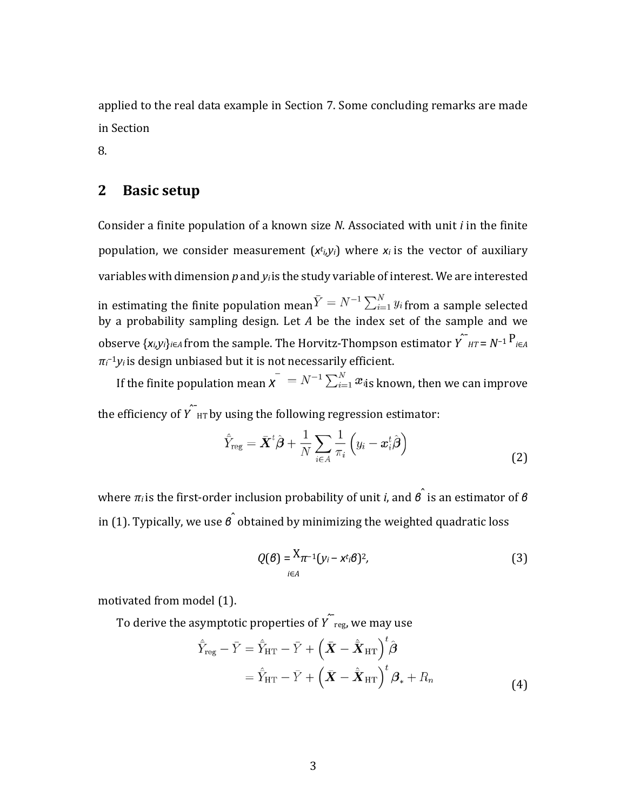applied to the real data example in Section 7. Some concluding remarks are made in Section

8.

# **2 Basic setup**

Consider a finite population of a known size *N*. Associated with unit *i* in the finite population, we consider measurement (*x<sup>t</sup> i,yi*) where *x<sup>i</sup>* is the vector of auxiliary variables with dimension *p* and *yi*is the study variable of interest. We are interested in estimating the finite population mean  $\bar{Y} = N^{-1} \sum_{i=1}^{N} y_i$  from a sample selected by a probability sampling design. Let *A* be the index set of the sample and we observe  $\{x_i, y_i\}_{i \in A}$  from the sample. The Horvitz-Thompson estimator  $\hat{Y}^T H T = N^{-1} \sum_{i \in A} P_i$  $π<sub>i</sub>⁻¹y<sub>i</sub>$  is design unbiased but it is not necessarily efficient.

If the finite population mean  $\overline{X}^{\dagger} = N^{-1} \sum_{i=1}^{N} x_{i}$  known, then we can improve the efficiency of  $\hat{Y}_{HT}$  by using the following regression estimator:

$$
\hat{Y}_{\text{reg}} = \bar{\boldsymbol{X}}^{t} \hat{\boldsymbol{\beta}} + \frac{1}{N} \sum_{i \in A} \frac{1}{\pi_i} \left( y_i - \boldsymbol{x}_i^{t} \hat{\boldsymbol{\beta}} \right)
$$
(2)

where *π<sup>i</sup>* is the first-order inclusion probability of unit *i*, and *β*ˆ is an estimator of *<sup>β</sup>* in (1). Typically, we use  $\hat{\beta}$  obtained by minimizing the weighted quadratic loss

$$
Q(\mathcal{B}) = \frac{X_{\pi^{-1}}(y_i - x^{t_i}\mathcal{B})^2}{\sum_{i \in A} (3)}
$$

motivated from model (1).

To derive the asymptotic properties of  $\hat{Y}_{\text{reg}}$ , we may use

$$
\hat{Y}_{reg} - \bar{Y} = \hat{Y}_{HT} - \bar{Y} + \left(\bar{X} - \hat{X}_{HT}\right)^t \hat{\boldsymbol{\beta}}
$$
\n
$$
= \hat{Y}_{HT} - \bar{Y} + \left(\bar{X} - \hat{X}_{HT}\right)^t \boldsymbol{\beta}_* + R_n
$$
\n(4)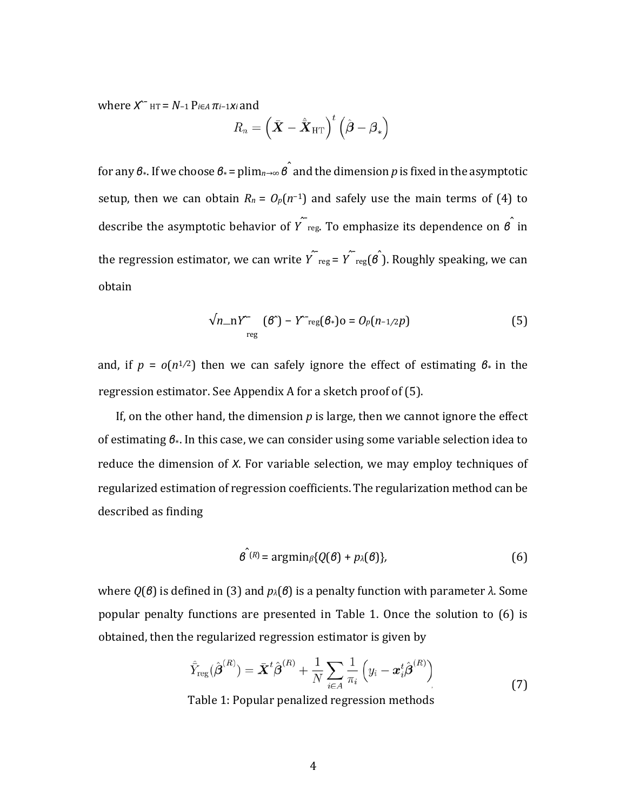$x^$ <sup>−</sup>  $_H$ <sup> $= N$ </sup>−1  $P$ *i*∈*A*  $π$ *i*−1*xi* and

$$
R_n = \left(\bar{\boldsymbol{X}} - \hat{\bar{\boldsymbol{X}}}_{\text{HT}}\right)^t \left(\hat{\boldsymbol{\beta}} - \boldsymbol{\beta}_*\right)
$$

for any *β*∗. If we choose *β*∗ = plim*n*→∞ *β*ˆ and the dimension *<sup>p</sup>* is fixed in the asymptotic setup, then we can obtain  $R_n = O_p(n^{-1})$  and safely use the main terms of (4) to describe the asymptotic behavior of *Y*<sup> $\sim$ </sup><sup> $\sim$ </sup><sub>reg</sub>. To emphasize its dependence on *β*<sup> $\sim$ </sup> in the regression estimator, we can write  $\hat{Y}_\text{reg} = \hat{Y}_\text{reg}(\hat{\theta})$ . Roughly speaking, we can obtain

$$
\sqrt{n_m} Y^{\prime\prime} \quad (\mathcal{B}^{\prime}) - Y^{\prime\prime} \text{reg}(\mathcal{B}_*) o = O_p(n-1/2p) \tag{5}
$$

and, if  $p = o(n^{1/2})$  then we can safely ignore the effect of estimating  $\theta_*$  in the regression estimator. See Appendix A for a sketch proof of (5).

If, on the other hand, the dimension *p* is large, then we cannot ignore the effect of estimating *β*∗. In this case, we can consider using some variable selection idea to reduce the dimension of *X*. For variable selection, we may employ techniques of regularized estimation of regression coefficients. The regularization method can be described as finding

$$
\hat{\boldsymbol{\beta}}^{(R)} = \operatorname{argmin}_{\beta} \{ Q(\boldsymbol{\beta}) + p_{\lambda}(\boldsymbol{\beta}) \},
$$
\n(6)

where *Q*(*β*) is defined in (3) and *pλ*(*β*) is a penalty function with parameter *λ*. Some popular penalty functions are presented in Table 1. Once the solution to (6) is obtained, then the regularized regression estimator is given by

$$
\hat{Y}_{\text{reg}}(\hat{\boldsymbol{\beta}}^{(R)}) = \bar{\boldsymbol{X}}^{t}\hat{\boldsymbol{\beta}}^{(R)} + \frac{1}{N} \sum_{i \in A} \frac{1}{\pi_i} \left( y_i - \boldsymbol{x}_i^{t}\hat{\boldsymbol{\beta}}^{(R)} \right)
$$
\n(7)

Table 1: Popular penalized regression methods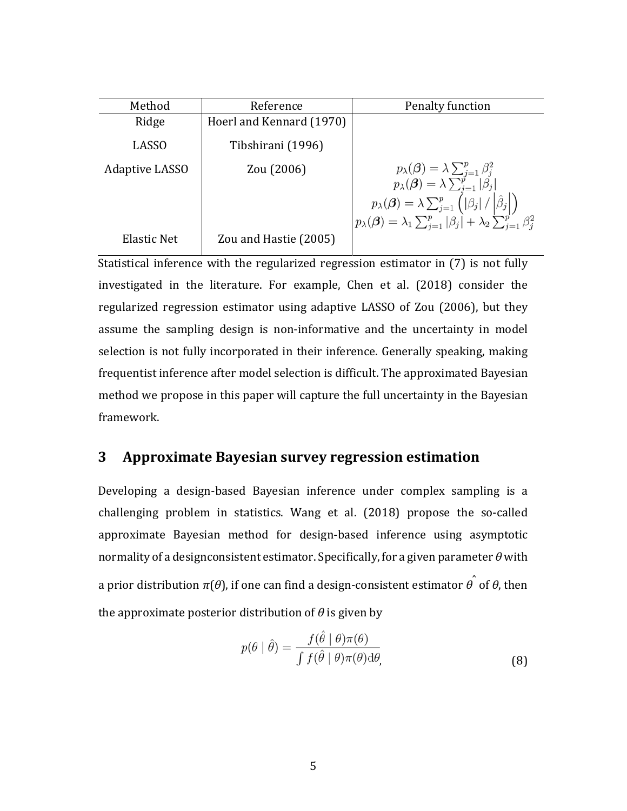| Method         | Reference                | Penalty function                                                                                                                                                                                                                              |
|----------------|--------------------------|-----------------------------------------------------------------------------------------------------------------------------------------------------------------------------------------------------------------------------------------------|
| Ridge          | Hoerl and Kennard (1970) |                                                                                                                                                                                                                                               |
| <b>LASSO</b>   | Tibshirani (1996)        |                                                                                                                                                                                                                                               |
| Adaptive LASSO | Zou (2006)               | $p_{\lambda}(\boldsymbol{\beta}) = \lambda \sum_{j=1}^{p} \beta_j^2$<br>$p_{\lambda}(\boldsymbol{\beta}) = \lambda \sum_{j=1}^{p}  \beta_j $<br>$p_{\lambda}(\boldsymbol{\beta}) = \lambda \sum_{j=1}^{p} ( \beta_j  /  \boldsymbol{\beta} )$ |
|                |                          |                                                                                                                                                                                                                                               |
|                |                          | $p_{\lambda}(\boldsymbol{\beta}) = \lambda_1 \sum_{j=1}^p  \beta_j  + \lambda_2 \sum_{j=1}^{p'} \beta_j^2$                                                                                                                                    |
| Elastic Net    | Zou and Hastie (2005)    |                                                                                                                                                                                                                                               |

Statistical inference with the regularized regression estimator in (7) is not fully investigated in the literature. For example, Chen et al. (2018) consider the regularized regression estimator using adaptive LASSO of Zou (2006), but they assume the sampling design is non-informative and the uncertainty in model selection is not fully incorporated in their inference. Generally speaking, making frequentist inference after model selection is difficult. The approximated Bayesian method we propose in this paper will capture the full uncertainty in the Bayesian framework.

# **3 Approximate Bayesian survey regression estimation**

Developing a design-based Bayesian inference under complex sampling is a challenging problem in statistics. Wang et al. (2018) propose the so-called approximate Bayesian method for design-based inference using asymptotic normality of a designconsistent estimator. Specifically, for a given parameter θ with a prior distribution *π*(*θ*), if one can find a design-consistent estimator *θ*ˆ of *θ*, then the approximate posterior distribution of  $\theta$  is given by

$$
p(\theta \mid \hat{\theta}) = \frac{f(\hat{\theta} \mid \theta)\pi(\theta)}{\int f(\hat{\theta} \mid \theta)\pi(\theta)\mathrm{d}\theta},\tag{8}
$$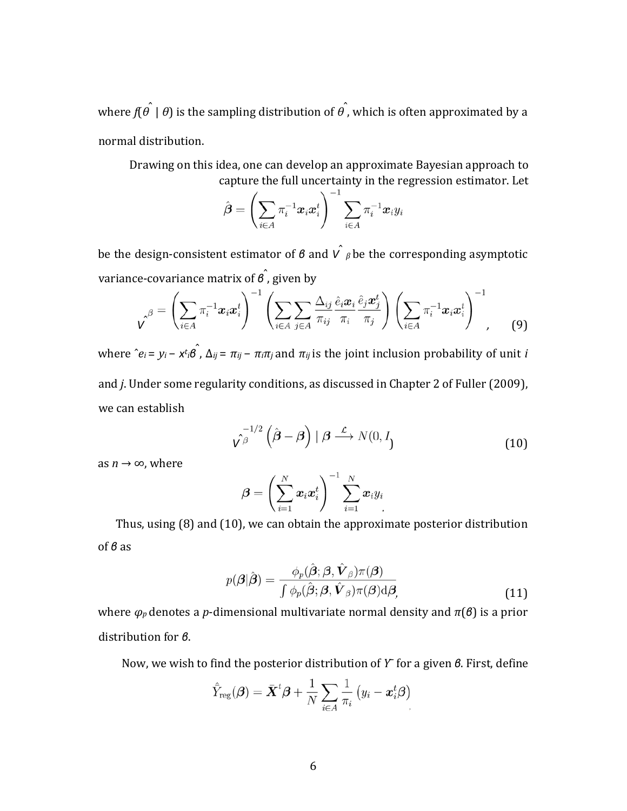where *f*(*θ*ˆ | *θ*) is the sampling distribution of *θ*ˆ , which is often approximated by a normal distribution.

Drawing on this idea, one can develop an approximate Bayesian approach to capture the full uncertainty in the regression estimator. Let

$$
\hat{\boldsymbol{\beta}} = \left(\sum_{i \in A} \pi_i^{-1} \boldsymbol{x}_i \boldsymbol{x}_i^t\right)^{-1} \sum_{i \in A} \pi_i^{-1} \boldsymbol{x}_i y_i
$$

be the design-consistent estimator of *β* and  $\hat{V}$  *β* be the corresponding asymptotic variance-covariance matrix of *β*<sup>ˆ</sup> , given by

$$
\hat{\mathbf{v}}^{\beta} = \left(\sum_{i \in A} \pi_i^{-1} \mathbf{x}_i \mathbf{x}_i^t \right)^{-1} \left(\sum_{i \in A} \sum_{j \in A} \frac{\Delta_{ij}}{\pi_{ij}} \frac{\hat{e}_i \mathbf{x}_i}{\pi_i} \frac{\hat{e}_j \mathbf{x}_j^t}{\pi_j} \right) \left(\sum_{i \in A} \pi_i^{-1} \mathbf{x}_i \mathbf{x}_i^t \right)^{-1}, \quad (9)
$$

 $x^2 + y^2 = y^2 - x^2 + y^2 = 0$  *k*<sup>2</sup>  $\hat{A}$  *k*<sub>*j*</sub> = *π*<sub>*ij*</sub> − *π*<sub>i</sub> $\pi$ <sub>*j*</sub> and *π*<sub>*i*j</sub> is the joint inclusion probability of unit *i* and *j*. Under some regularity conditions, as discussed in Chapter 2 of Fuller (2009), we can establish

$$
\hat{\boldsymbol{V}^{\beta}}^{1/2} \left( \hat{\boldsymbol{\beta}} - \boldsymbol{\beta} \right) \mid \boldsymbol{\beta} \stackrel{\mathcal{L}}{\longrightarrow} N(0, I_1)
$$
 (10)

as  $n \rightarrow \infty$ , where

$$
\boldsymbol{\beta} = \left(\sum_{i=1}^N \boldsymbol{x}_i \boldsymbol{x}_i^t\right)^{-1} \sum_{i=1}^N \boldsymbol{x}_i y_i
$$

Thus, using (8) and (10), we can obtain the approximate posterior distribution of *β* as

$$
p(\boldsymbol{\beta}|\hat{\boldsymbol{\beta}}) = \frac{\phi_p(\hat{\boldsymbol{\beta}}; \boldsymbol{\beta}, \hat{\boldsymbol{V}}_{\boldsymbol{\beta}})\pi(\boldsymbol{\beta})}{\int \phi_p(\hat{\boldsymbol{\beta}}; \boldsymbol{\beta}, \hat{\boldsymbol{V}}_{\boldsymbol{\beta}})\pi(\boldsymbol{\beta})\mathrm{d}\boldsymbol{\beta}},\tag{11}
$$

where *φ<sup>p</sup>* denotes a *p*-dimensional multivariate normal density and *π*(*β*) is a prior distribution for *β*.

Now, we wish to find the posterior distribution of *Y*¯ for a given *β*. First, define

$$
\hat{\bar{Y}}_{\text{reg}}(\boldsymbol{\beta}) = \bar{\boldsymbol{X}}^{t} \boldsymbol{\beta} + \frac{1}{N} \sum_{i \in A} \frac{1}{\pi_i} \left( y_i - \boldsymbol{x}_i^{t} \boldsymbol{\beta} \right)
$$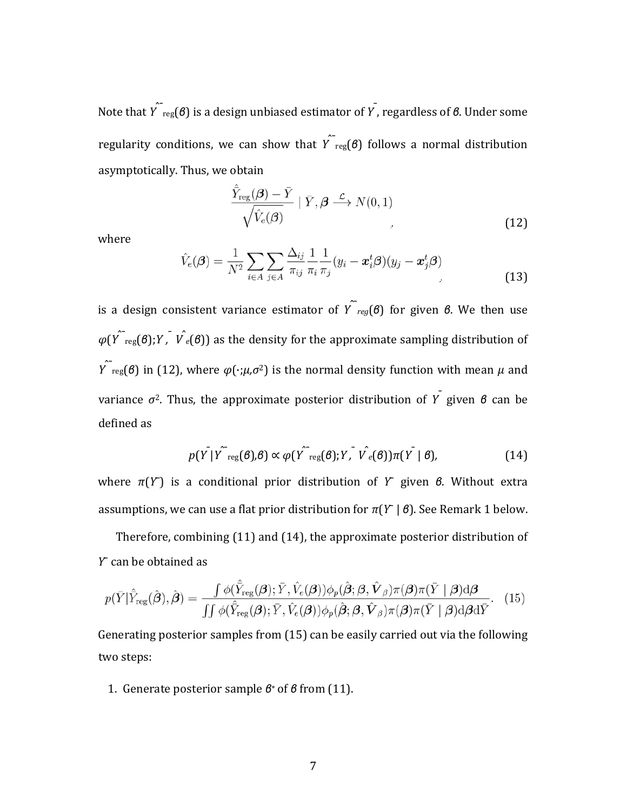Note that *Y*ˆ¯reg(*β*) is a design unbiased estimator of *Y*¯ , regardless of *β*. Under some regularity conditions, we can show that  $\hat{Y}_{\text{reg}}(\theta)$  follows a normal distribution asymptotically. Thus, we obtain

$$
\frac{\hat{\bar{Y}}_{\text{reg}}(\boldsymbol{\beta}) - \bar{Y}}{\sqrt{\hat{V}_e(\boldsymbol{\beta})}} \mid \bar{Y}, \boldsymbol{\beta} \stackrel{\mathcal{L}}{\longrightarrow} N(0, 1)
$$
\n(12)

where

$$
\hat{V}_e(\boldsymbol{\beta}) = \frac{1}{N^2} \sum_{i \in A} \sum_{j \in A} \frac{\Delta_{ij}}{\pi_{ij}} \frac{1}{\pi_i} \frac{1}{\pi_j} (y_i - \boldsymbol{x}_i^t \boldsymbol{\beta}) (y_j - \boldsymbol{x}_j^t \boldsymbol{\beta})
$$
\n(13)

is a design consistent variance estimator of  $\hat{Y}_{req}(\theta)$  for given  $\theta$ . We then use  $\varphi(Y^{\texttt{`}}_{\text{reg}}(\boldsymbol{\beta});Y,\texttt{`}\nu^{\texttt{`}}_{e}(\boldsymbol{\beta}))$  as the density for the approximate sampling distribution of *Y* $\int$ <sub>reg</sub>(*β*) in (12), where  $\varphi(\cdot;\mu,\sigma^2)$  is the normal density function with mean *μ* and variance *σ*2. Thus, the approximate posterior distribution of *Y*¯ given *<sup>β</sup>* can be defined as

$$
p(Y|Y^{T_{reg}}(\boldsymbol{\beta}),\boldsymbol{\beta}) \propto \varphi(Y^{T_{reg}}(\boldsymbol{\beta});Y, V^{T_{e}}(\boldsymbol{\beta}))\pi(Y|\boldsymbol{\beta}), \qquad (14)
$$

where *π*(*Y*¯) is a conditional prior distribution of *Y*¯ given *β*. Without extra assumptions, we can use a flat prior distribution for  $\pi(Y | \theta)$ . See Remark 1 below.

Therefore, combining (11) and (14), the approximate posterior distribution of *Y*¯ can be obtained as

$$
p(\bar{Y}|\hat{Y}_{\text{reg}}(\hat{\boldsymbol{\beta}}),\hat{\boldsymbol{\beta}}) = \frac{\int \phi(\hat{Y}_{\text{reg}}(\boldsymbol{\beta});\bar{Y},\hat{V}_{e}(\boldsymbol{\beta}))\phi_{p}(\hat{\boldsymbol{\beta}};\boldsymbol{\beta},\hat{\boldsymbol{V}}_{\boldsymbol{\beta}})\pi(\boldsymbol{\beta})\pi(\bar{Y} \mid \boldsymbol{\beta})\mathrm{d}\boldsymbol{\beta}}{\int\int \phi(\hat{Y}_{\text{reg}}(\boldsymbol{\beta});\bar{Y},\hat{V}_{e}(\boldsymbol{\beta}))\phi_{p}(\hat{\boldsymbol{\beta}};\boldsymbol{\beta},\hat{\boldsymbol{V}}_{\boldsymbol{\beta}})\pi(\boldsymbol{\beta})\pi(\bar{Y} \mid \boldsymbol{\beta})\mathrm{d}\boldsymbol{\beta}\mathrm{d}\bar{Y}}.
$$
(15)

Generating posterior samples from (15) can be easily carried out via the following two steps:

1. Generate posterior sample *β*∗ of *β* from (11).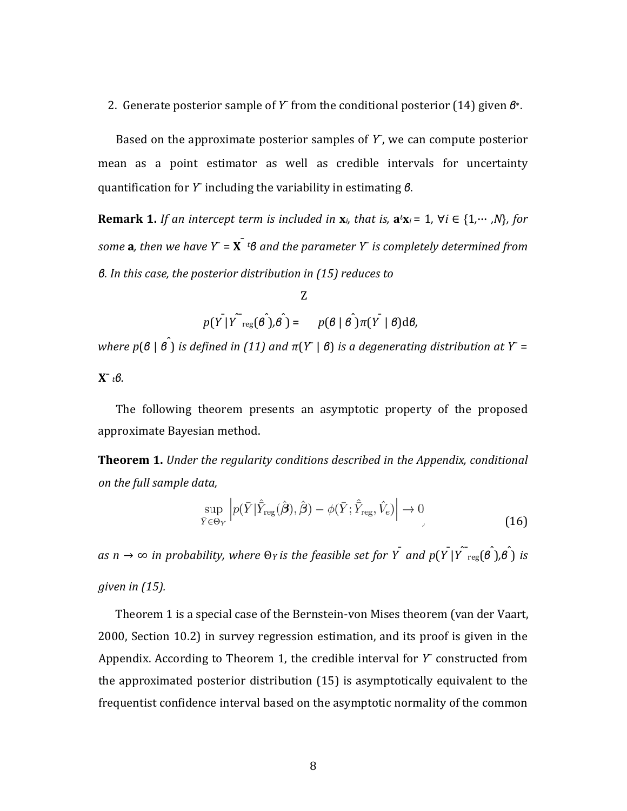#### 2. Generate posterior sample of *Y*¯ from the conditional posterior (14) given *β*∗.

Based on the approximate posterior samples of  $Y$ , we can compute posterior mean as a point estimator as well as credible intervals for uncertainty quantification for *Y*¯ including the variability in estimating *β*.

**Remark 1.** If an intercept term is included in  $x_i$ , that is,  $a^i x_i = 1$ ,  $\forall i \in \{1, \dots, N\}$ , for *some* **a***, then we have Y*¯ = **X**¯ *<sup>t</sup> β and the parameter Y*¯ *is completely determined from β. In this case, the posterior distribution in (15) reduces to*

Z  

$$
p(Y|Y^{\top}_{reg}(\hat{\theta}),\hat{\theta}) = p(\hat{\theta} | \hat{\theta})\pi(Y|\hat{\theta})d\theta,
$$

*where <sup>p</sup>*(*β* | *β*<sup>ˆ</sup> ) *is defined in (11) and π*(*Y*¯ | *β*) *is a degenerating distribution at Y*¯ = **X**¯ *tβ.*

The following theorem presents an asymptotic property of the proposed approximate Bayesian method.

**Theorem 1.** *Under the regularity conditions described in the Appendix, conditional on the full sample data,*

$$
\sup_{\bar{Y}\in\Theta_{Y}}\left|p(\bar{Y}|\hat{\bar{Y}}_{\text{reg}}(\hat{\boldsymbol{\beta}}),\hat{\boldsymbol{\beta}})-\phi(\bar{Y};\hat{\bar{Y}}_{\text{reg}},\hat{V}_{e})\right|\to 0
$$
\n(16)

as  $n\to\infty$  in probability, where  $\Theta$ y is the feasible set for  $\bar{Y}$  and  $p(\bar{Y|Y}^{\frown}_{reg}(\hat{\theta^{\frown}})$ ,  $\hat{\theta^{\frown}}$  is *given in (15).*

Theorem 1 is a special case of the Bernstein-von Mises theorem (van der Vaart, 2000, Section 10.2) in survey regression estimation, and its proof is given in the Appendix. According to Theorem 1, the credible interval for *Y*¯ constructed from the approximated posterior distribution (15) is asymptotically equivalent to the frequentist confidence interval based on the asymptotic normality of the common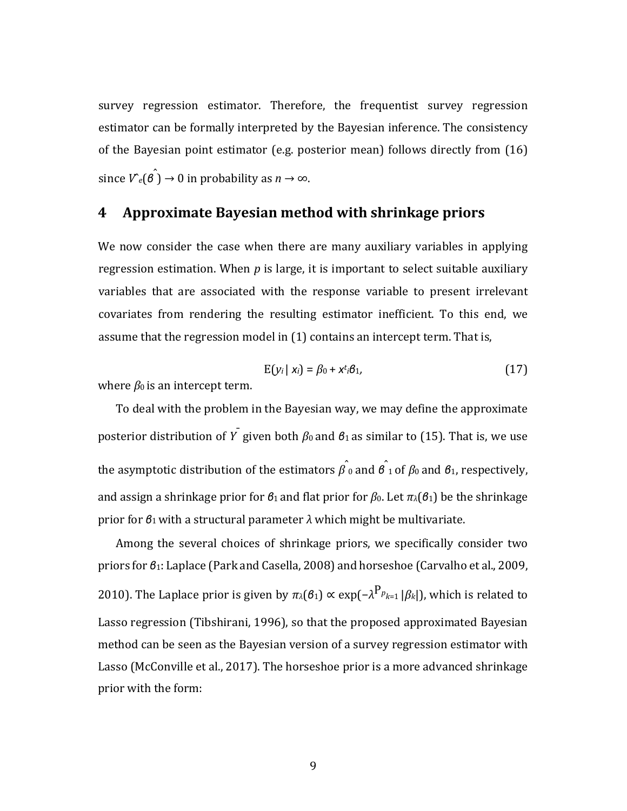survey regression estimator. Therefore, the frequentist survey regression estimator can be formally interpreted by the Bayesian inference. The consistency of the Bayesian point estimator (e.g. posterior mean) follows directly from (16) since  $V^{\circ}(e) \to 0$  in probability as  $n \to \infty$ .

## **4 Approximate Bayesian method with shrinkage priors**

We now consider the case when there are many auxiliary variables in applying regression estimation. When *p* is large, it is important to select suitable auxiliary variables that are associated with the response variable to present irrelevant covariates from rendering the resulting estimator inefficient. To this end, we assume that the regression model in (1) contains an intercept term. That is,

$$
E(y_i \mid x_i) = \beta_0 + x^t \cdot \beta_1, \tag{17}
$$

where  $\beta_0$  is an intercept term.

To deal with the problem in the Bayesian way, we may define the approximate posterior distribution of *Y* given both  $\beta_0$  and  $\beta_1$  as similar to (15). That is, we use the asymptotic distribution of the estimators *β*ˆ 0 and *β*<sup>ˆ</sup> 1 of *β*0 and *β*1, respectively, and assign a shrinkage prior for *β*1 and flat prior for *β*0. Let *πλ*(*β*1) be the shrinkage prior for *β*1 with a structural parameter *λ* which might be multivariate.

Among the several choices of shrinkage priors, we specifically consider two priors for *β*1: Laplace (Park and Casella, 2008) and horseshoe (Carvalho et al., 2009, 2010). The Laplace prior is given by  $\pi_λ(β_1) \propto \exp(-λ^{P_p}k_1|β_k|)$ , which is related to Lasso regression (Tibshirani, 1996), so that the proposed approximated Bayesian method can be seen as the Bayesian version of a survey regression estimator with Lasso (McConville et al., 2017). The horseshoe prior is a more advanced shrinkage prior with the form: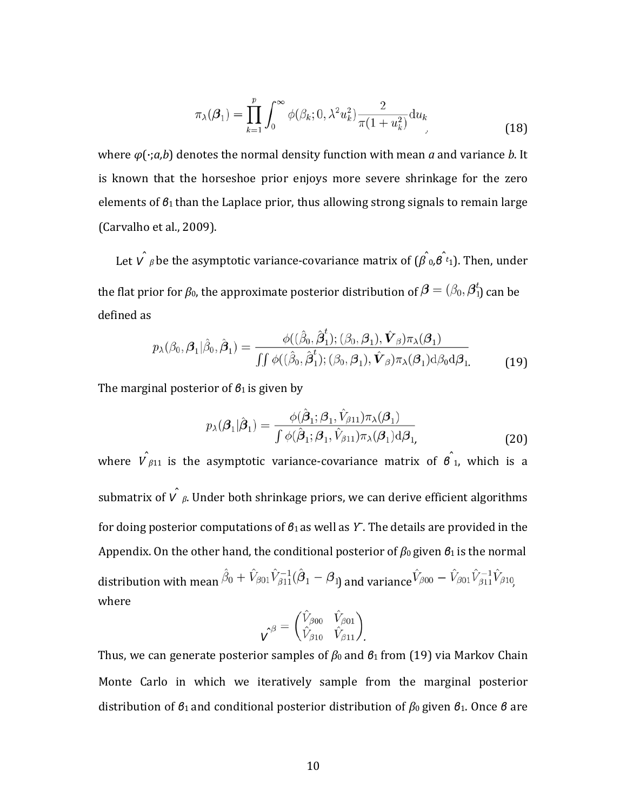$$
\pi_{\lambda}(\beta_1) = \prod_{k=1}^{p} \int_0^{\infty} \phi(\beta_k; 0, \lambda^2 u_k^2) \frac{2}{\pi (1 + u_k^2)} du_k
$$
\n(18)

where *φ*(·;*a,b*) denotes the normal density function with mean *a* and variance *b*. It is known that the horseshoe prior enjoys more severe shrinkage for the zero elements of *β*1 than the Laplace prior, thus allowing strong signals to remain large (Carvalho et al., 2009).

Let  $V$   $_{\beta}$  be the asymptotic variance-covariance matrix of  $(\hat{\beta \,} _0, \hat{\theta \,} _t)$ . Then, under the flat prior for  $\beta_0$ , the approximate posterior distribution of  $\boldsymbol{\beta} = (\beta_0, \boldsymbol{\beta}_1^t)$  can be defined as

$$
p_{\lambda}(\beta_0, \beta_1 | \hat{\beta}_0, \hat{\beta}_1) = \frac{\phi((\hat{\beta}_0, \hat{\beta}_1^t); (\beta_0, \beta_1), \hat{\mathbf{V}}_{\beta})\pi_{\lambda}(\beta_1)}{\iint \phi((\hat{\beta}_0, \hat{\beta}_1^t); (\beta_0, \beta_1), \hat{\mathbf{V}}_{\beta})\pi_{\lambda}(\beta_1) d\beta_0 d\beta_1} \tag{19}
$$

The marginal posterior of *β*1 is given by

$$
p_{\lambda}(\boldsymbol{\beta}_1|\hat{\boldsymbol{\beta}}_1) = \frac{\phi(\hat{\boldsymbol{\beta}}_1; \boldsymbol{\beta}_1, \hat{V}_{\beta 11})\pi_{\lambda}(\boldsymbol{\beta}_1)}{\int \phi(\hat{\boldsymbol{\beta}}_1; \boldsymbol{\beta}_1, \hat{V}_{\beta 11})\pi_{\lambda}(\boldsymbol{\beta}_1)d\boldsymbol{\beta}_1}
$$
(20)

where  $\hat{V}_{\beta 11}$  is the asymptotic variance-covariance matrix of  $\hat{\bf g}_{1}$ , which is a submatrix of  $\hat{V}$   $\hat{\beta}$ . Under both shrinkage priors, we can derive efficient algorithms for doing posterior computations of *β*1 as well as *Y*¯. The details are provided in the Appendix. On the other hand, the conditional posterior of *β*0 given *β*1 is the normal distribution with mean  $\hat{\beta}_0 + \hat{V}_{\beta 01} \hat{V}_{\beta 11}^{-1} (\hat{\beta}_1 - \beta_1)$  and variance  $\hat{V}_{\beta 00} - \hat{V}_{\beta 01} \hat{V}_{\beta 11}^{-1} \hat{V}_{\beta 10}$ where

$$
\mathbf{v}^{\beta} = \begin{pmatrix} \hat{V}_{\beta 00} & \hat{V}_{\beta 01} \\ \hat{V}_{\beta 10} & \hat{V}_{\beta 11} \end{pmatrix}
$$

Thus, we can generate posterior samples of *β*0 and *β*1 from (19) via Markov Chain Monte Carlo in which we iteratively sample from the marginal posterior distribution of *β*1 and conditional posterior distribution of *β*0 given *β*1. Once *β* are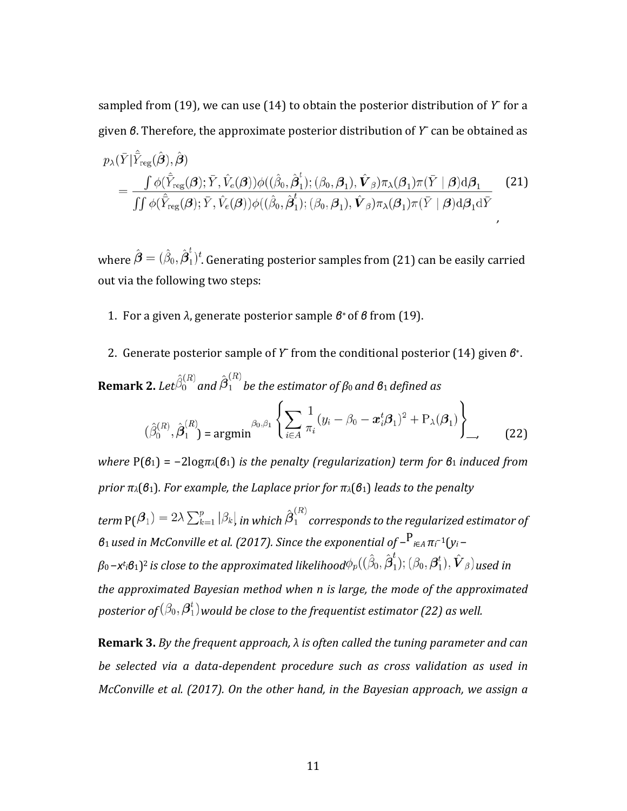sampled from  $(19)$ , we can use  $(14)$  to obtain the posterior distribution of Y for a given *β*. Therefore, the approximate posterior distribution of *Y*¯ can be obtained as

$$
p_{\lambda}(\bar{Y}|\bar{Y}_{reg}(\hat{\boldsymbol{\beta}}),\hat{\boldsymbol{\beta}})
$$
  
= 
$$
\frac{\int \phi(\hat{\bar{Y}}_{reg}(\boldsymbol{\beta});\bar{Y},\hat{V}_{e}(\boldsymbol{\beta}))\phi((\hat{\beta}_{0},\hat{\boldsymbol{\beta}}_{1}^{t});(\beta_{0},\boldsymbol{\beta}_{1}),\hat{\boldsymbol{V}}_{\beta})\pi_{\lambda}(\boldsymbol{\beta}_{1})\pi(\bar{Y}|\boldsymbol{\beta})d\boldsymbol{\beta}_{1}}{\int \int \phi(\hat{\bar{Y}}_{reg}(\boldsymbol{\beta});\bar{Y},\hat{V}_{e}(\boldsymbol{\beta}))\phi((\hat{\beta}_{0},\hat{\boldsymbol{\beta}}_{1}^{t});(\beta_{0},\boldsymbol{\beta}_{1}),\hat{\boldsymbol{V}}_{\beta})\pi_{\lambda}(\boldsymbol{\beta}_{1})\pi(\bar{Y}|\boldsymbol{\beta})d\boldsymbol{\beta}_{1}d\bar{Y}}
$$
(21)

where  $\hat{\boldsymbol{\beta}} = (\hat{\beta}_0, \hat{\beta}_1^t)^t$ . Generating posterior samples from (21) can be easily carried out via the following two steps:

- 1. For a given *λ*, generate posterior sample *β*∗ of *β* from (19).
- 2. Generate posterior sample of *Y*¯ from the conditional posterior (14) given *β*∗.

**Remark 2.** Let 
$$
\hat{\beta}_0^{(R)}
$$
 and  $\hat{\beta}_1^{(R)}$  be the estimator of  $\beta_0$  and  $\beta_1$  defined as  
\n
$$
(\hat{\beta}_0^{(R)}, \hat{\beta}_1^{(R)}) = \operatorname{argmin} \begin{Bmatrix} \sum_{i \in A} \frac{1}{\pi_i} (y_i - \beta_0 - x_i^t \beta_1)^2 + P_{\lambda}(\beta_1) \\ \vdots \end{Bmatrix}
$$
\n(22)

*where* P(*β*1) = −2log*πλ*(*β*1) *is the penalty (regularization) term for β*1 *induced from prior πλ*(*β*1)*. For example, the Laplace prior for πλ*(*β*1) *leads to the penalty*

*term*  $P(\beta_1) = 2\lambda \sum_{k=1}^p |\beta_k|$  in which  $\hat{\beta}_1^{(R)}$  corresponds to the regularized estimator of *<sup>β</sup>*1 *used in McConville et al. (2017). Since the exponential of* <sup>−</sup>P*i*∈*<sup>A</sup> <sup>π</sup><sup>i</sup>* −1(*yi* −  $\beta_0$  −*x*t<sub>i</sub> $\beta_1$ )<sup>2</sup> is close to the approximated likelihood $\phi_p((\beta_0, \boldsymbol{\beta}_1); (\beta_0, \boldsymbol{\beta}_1^c), \boldsymbol{V}_{\beta})$  used in *the approximated Bayesian method when n is large, the mode of the approximated posterior of*  $(\beta_0, \beta_1^t)$  *would be close to the frequentist estimator* (22) *as well.* 

**Remark 3.** *By the frequent approach, λ is often called the tuning parameter and can be selected via a data‐dependent procedure such as cross validation as used in McConville et al. (2017). On the other hand, in the Bayesian approach, we assign a*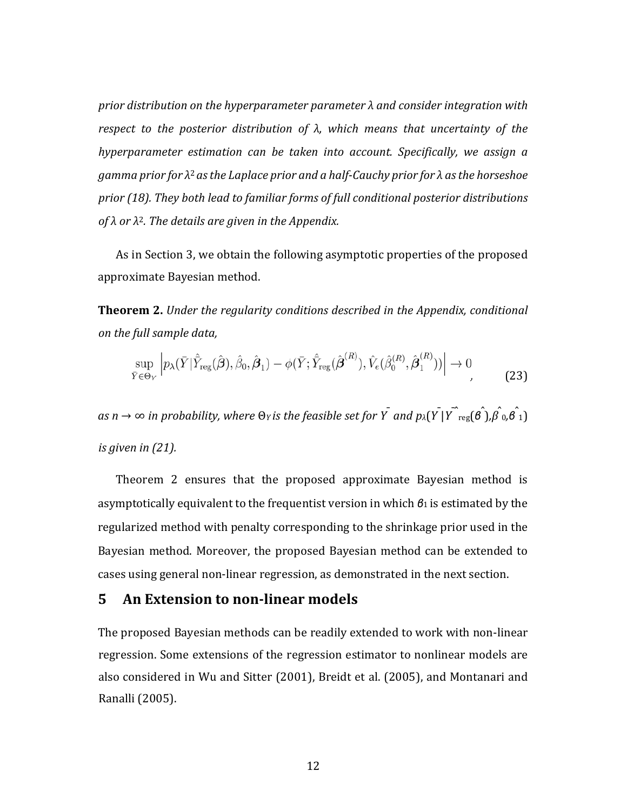*prior distribution on the hyperparameter parameter λ and consider integration with respect to the posterior distribution of λ, which means that uncertainty of the hyperparameter estimation can be taken into account. Specifically, we assign a gamma prior for λ*2 *asthe Laplace prior and a half‐Cauchy prior for λ asthe horseshoe prior (18). They both lead to familiar forms of full conditional posterior distributions of λ or λ*2*. The details are given in the Appendix.*

As in Section 3, we obtain the following asymptotic properties of the proposed approximate Bayesian method.

**Theorem 2.** *Under the regularity conditions described in the Appendix, conditional on the full sample data,*

$$
\sup_{\bar{Y}\in\Theta_Y} \left| p_\lambda(\bar{Y}|\hat{Y}_{\text{reg}}(\hat{\boldsymbol{\beta}}), \hat{\beta}_0, \hat{\boldsymbol{\beta}}_1) - \phi(\bar{Y}; \hat{Y}_{\text{reg}}(\hat{\boldsymbol{\beta}}^{(R)}), \hat{V}_e(\hat{\beta}_0^{(R)}, \hat{\boldsymbol{\beta}}_1^{(R)})) \right| \to 0
$$
\n(23)

as n  $\to$   $\infty$  in probability, where  $\Theta$ y is the feasible set for  $\tilde{Y}$  and  $p_\lambda(\tilde{Y\,|\tilde{Y}^{\frown}{\rm reg}(\hat{\theta\,}),\hat{\beta\,0,\hat{\theta\,1})$ *is given in (21).*

Theorem 2 ensures that the proposed approximate Bayesian method is asymptotically equivalent to the frequentist version in which *β*1 is estimated by the regularized method with penalty corresponding to the shrinkage prior used in the Bayesian method. Moreover, the proposed Bayesian method can be extended to cases using general non-linear regression, as demonstrated in the next section.

### **5 An Extension to non‐linear models**

The proposed Bayesian methods can be readily extended to work with non-linear regression. Some extensions of the regression estimator to nonlinear models are also considered in Wu and Sitter (2001), Breidt et al. (2005), and Montanari and Ranalli (2005).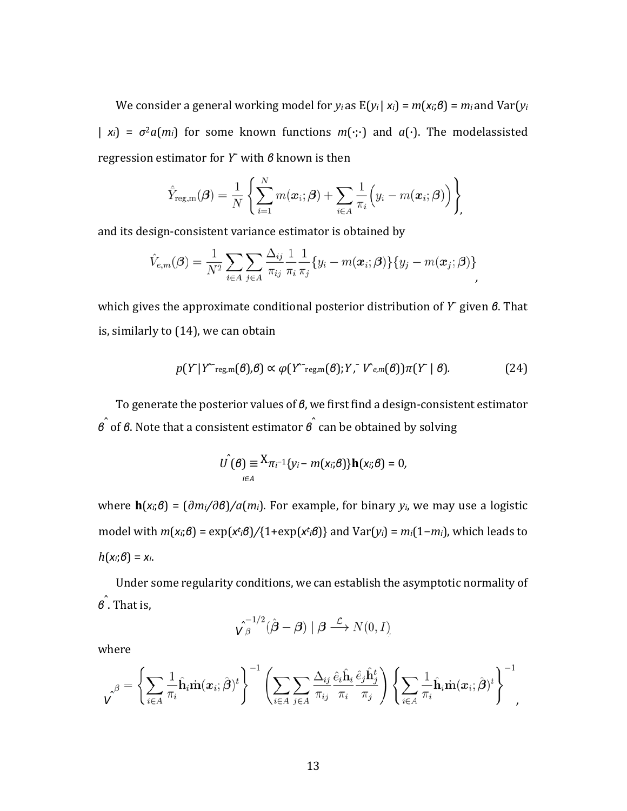We consider a general working model for  $y_i$  as  $E(y_i | x_i) = m(x_i; \theta) = m_i$  and  $Var(y_i)$ |  $x_i$ ] =  $\sigma^2 a(m_i)$  for some known functions  $m(\cdot;\cdot)$  and  $a(\cdot)$ . The modelassisted regression estimator for *Y*¯ with *β* known is then

$$
\hat{\bar{Y}}_{\text{reg,m}}(\boldsymbol{\beta}) = \frac{1}{N} \left\{ \sum_{i=1}^{N} m(\boldsymbol{x}_i; \boldsymbol{\beta}) + \sum_{i \in A} \frac{1}{\pi_i} \Big( y_i - m(\boldsymbol{x}_i; \boldsymbol{\beta}) \Big) \right\},
$$

and its design-consistent variance estimator is obtained by

$$
\hat{V}_{e,m}(\boldsymbol{\beta}) = \frac{1}{N^2} \sum_{i \in A} \sum_{j \in A} \frac{\Delta_{ij}}{\pi_{ij}} \frac{1}{\pi_i} \frac{1}{\pi_j} \{y_i - m(\boldsymbol{x}_i; \boldsymbol{\beta})\} \{y_j - m(\boldsymbol{x}_j; \boldsymbol{\beta})\}
$$

which gives the approximate conditional posterior distribution of *Y*¯ given *β*. That is, similarly to (14), we can obtain

$$
p(Y|Y^{\sim_{regm}}(\theta),\theta) \propto \varphi(Y^{\sim_{regm}}(\theta);Y,\ V_{e,m}(\theta))\pi(Y|\theta). \tag{24}
$$

To generate the posterior values of *β*, we first find a design-consistent estimator *<sup>β</sup>*ˆ of *β*. Note that a consistent estimator *β*ˆ can be obtained by solving

$$
U\hat{\mathbf{0}}(\boldsymbol{\beta})\equiv\underset{i\in A}{X}\pi_{i}^{-1}\{y_{i}-m(x_{i};\boldsymbol{\beta})\}\mathbf{h}(x_{i};\boldsymbol{\beta})=0,
$$

where **h**(*xi*;*β*) = (*∂mi/∂β*)*/a*(*mi*). For example, for binary *yi*, we may use a logistic model with *m*(*xi*;*β*) = exp(*x<sup>t</sup> <sup>i</sup>β*)*/*{1+exp(*x<sup>t</sup> <sup>i</sup>β*)} and Var(*yi*) = *mi*(1−*mi*), which leads to  $h(x_i;\theta) = x_i$ .

Under some regularity conditions, we can establish the asymptotic normality of *β*ˆ . That is,

$$
\hat{\mathbf{V}_{\beta}}^{-1/2}(\hat{\boldsymbol{\beta}}-\boldsymbol{\beta}) \mid \boldsymbol{\beta} \stackrel{\mathcal{L}}{\longrightarrow} N(0, I)
$$

where

$$
\hat{\mathbf{v}}^{\beta} = \left\{ \sum_{i \in A} \frac{1}{\pi_i} \hat{\mathbf{h}}_i \dot{\mathbf{m}} (\boldsymbol{x}_i; \hat{\boldsymbol{\beta}})^t \right\}^{-1} \left( \sum_{i \in A} \sum_{j \in A} \frac{\Delta_{ij}}{\pi_{ij}} \frac{\hat{e}_i \hat{\mathbf{h}}_i}{\pi_i} \frac{\hat{e}_j \hat{\mathbf{h}}_j^t}{\pi_j} \right) \left\{ \sum_{i \in A} \frac{1}{\pi_i} \hat{\mathbf{h}}_i \dot{\mathbf{m}} (\boldsymbol{x}_i; \hat{\boldsymbol{\beta}})^t \right\}^{-1},
$$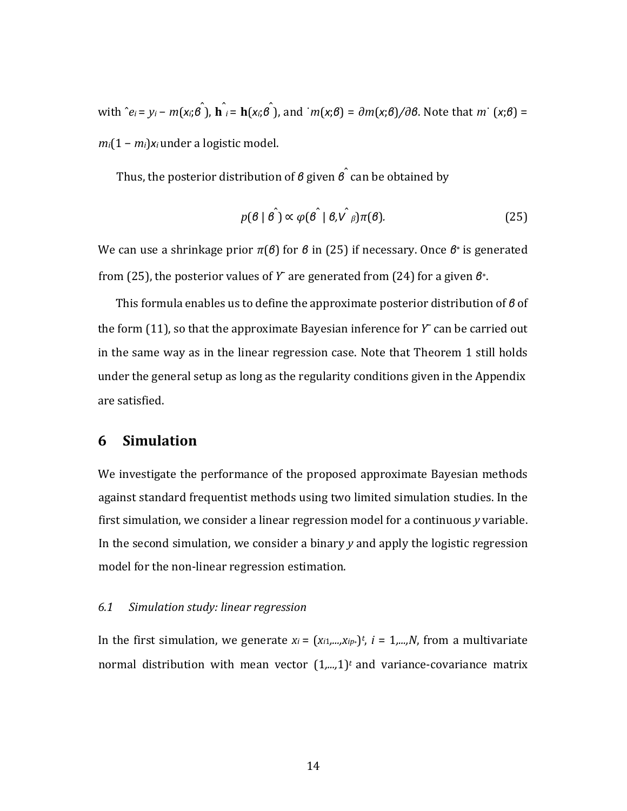with  $\hat{e}_i = y_i - m(x_i;\hat{\theta})$ ,  $\hat{\bf h}_i = {\bf h}(x_i;\hat{\theta})$ , and  $m(x;\theta) = \partial m(x;\theta)/\partial \theta$ . Note that  $m(x;\theta) =$ *mi*(1 − *mi*)*x<sup>i</sup>* under a logistic model.

Thus, the posterior distribution of *β* given *β*ˆ can be obtained by

$$
p(\theta \mid \hat{\theta}) \propto \varphi(\hat{\theta} \mid \theta, \hat{\nu \beta}) \pi(\theta). \tag{25}
$$

We can use a shrinkage prior *π*(*β*) for *β* in (25) if necessary. Once *β*∗ is generated from (25), the posterior values of *Y*¯ are generated from (24) for a given *β*∗.

This formula enables us to define the approximate posterior distribution of *β* of the form (11), so that the approximate Bayesian inference for *Y*¯ can be carried out in the same way as in the linear regression case. Note that Theorem 1 still holds under the general setup as long as the regularity conditions given in the Appendix are satisfied.

# **6 Simulation**

We investigate the performance of the proposed approximate Bayesian methods against standard frequentist methods using two limited simulation studies. In the first simulation, we consider a linear regression model for a continuous *y* variable. In the second simulation, we consider a binary *y* and apply the logistic regression model for the non-linear regression estimation.

#### *6.1 Simulation study: linear regression*

In the first simulation, we generate  $x_i = (x_{i1},...,x_{ip*})^t$ ,  $i = 1,...,N$ , from a multivariate normal distribution with mean vector  $(1,...,1)^t$  and variance-covariance matrix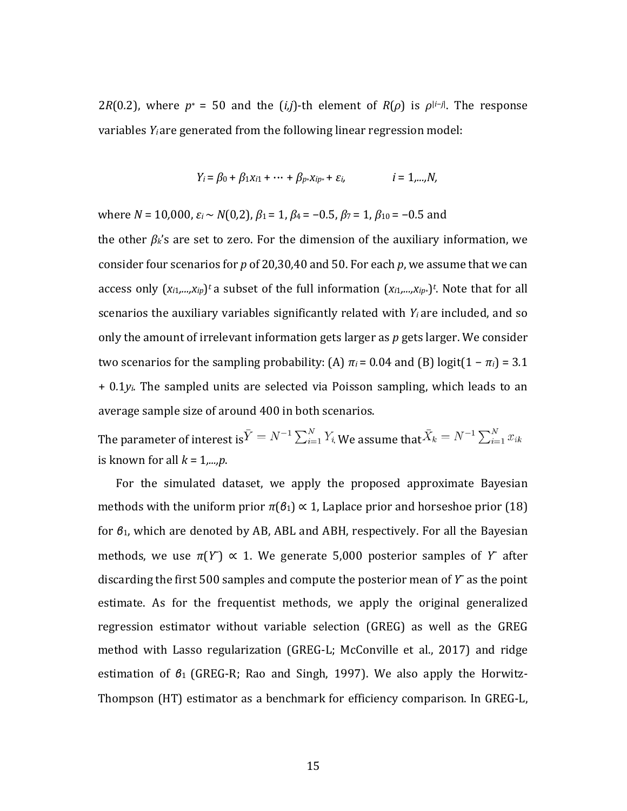2*R*(0.2), where  $p^* = 50$  and the (*i,j*)-th element of *R*( $\rho$ ) is  $\rho^{|i-j|}$ . The response variables *Yi* are generated from the following linear regression model:

$$
Y_i = \beta_0 + \beta_1 x_{i1} + \dots + \beta_{p^*} x_{ip^*} + \varepsilon_{i}, \qquad i = 1,...,N,
$$

where *N* = 10*,*000, *ε<sup>i</sup>* ∼ *N*(0*,*2), *β*1 = 1, *β*4 = −0*.*5, *β*7 = 1, *β*10 = −0*.*5 and

the other *βk*'s are set to zero. For the dimension of the auxiliary information, we consider four scenarios for *p* of 20*,*30*,*40 and 50. For each *p*, we assume that we can access only (*xi*1*,...,xip*)*<sup>t</sup>* a subset of the full information (*xi*1*,...,xip*∗)*<sup>t</sup>* . Note that for all scenarios the auxiliary variables significantly related with *Yi* are included, and so only the amount of irrelevant information gets larger as *p* gets larger. We consider two scenarios for the sampling probability: (A)  $\pi$ *i* = 0.04 and (B) logit(1 –  $\pi$ *i*) = 3.1 + 0*.*1*yi*. The sampled units are selected via Poisson sampling, which leads to an average sample size of around 400 in both scenarios.

The parameter of interest is  $\bar{Y} = N^{-1} \sum_{i=1}^{N} Y_i$  We assume that  $\bar{X}_k = N^{-1} \sum_{i=1}^{N} x_{ik}$ is known for all *k* = 1*,...,p*.

For the simulated dataset, we apply the proposed approximate Bayesian methods with the uniform prior  $\pi(\mathcal{B}_1) \propto 1$ , Laplace prior and horseshoe prior (18) for *β*1, which are denoted by AB, ABL and ABH, respectively. For all the Bayesian methods, we use  $\pi(Y) \propto 1$ . We generate 5,000 posterior samples of *Y* after discarding the first 500 samples and compute the posterior mean of *Y*¯ as the point estimate. As for the frequentist methods, we apply the original generalized regression estimator without variable selection (GREG) as well as the GREG method with Lasso regularization (GREG-L; McConville et al., 2017) and ridge estimation of *β*1 (GREG-R; Rao and Singh, 1997). We also apply the Horwitz-Thompson (HT) estimator as a benchmark for efficiency comparison. In GREG-L,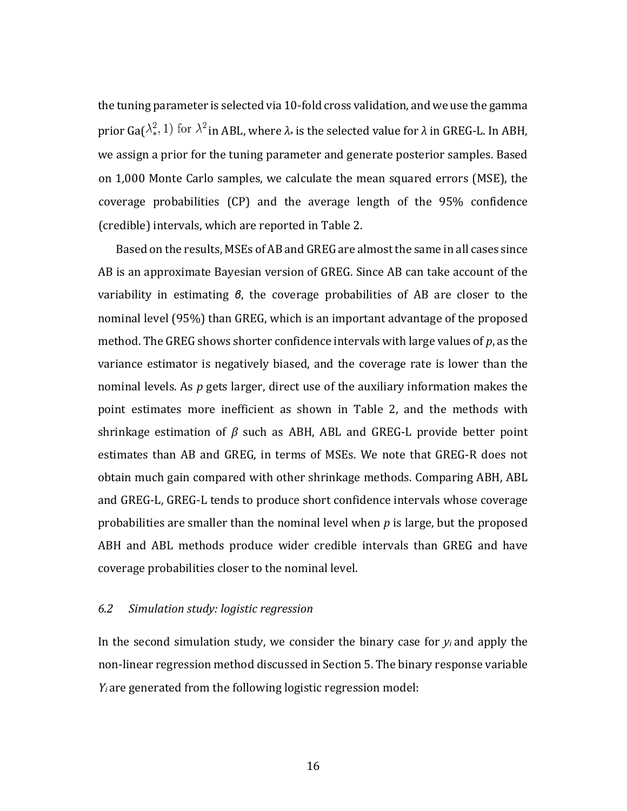the tuning parameter is selected via 10-fold cross validation, and we use the gamma prior  $Ga(\lambda_*^2, 1)$  for  $\lambda^2$  in ABL, where  $\lambda_*$  is the selected value for  $\lambda$  in GREG-L. In ABH, we assign a prior for the tuning parameter and generate posterior samples. Based on 1*,*000 Monte Carlo samples, we calculate the mean squared errors (MSE), the coverage probabilities (CP) and the average length of the 95% confidence (credible) intervals, which are reported in Table 2.

Based on the results, MSEs of AB and GREG are almost the same in all cases since AB is an approximate Bayesian version of GREG. Since AB can take account of the variability in estimating *β*, the coverage probabilities of AB are closer to the nominal level (95%) than GREG, which is an important advantage of the proposed method. The GREG shows shorter confidence intervals with large values of *p*, as the variance estimator is negatively biased, and the coverage rate is lower than the nominal levels. As *p* gets larger, direct use of the auxiliary information makes the point estimates more inefficient as shown in Table 2, and the methods with shrinkage estimation of *β*  such as ABH, ABL and GREG-L provide better point estimates than AB and GREG, in terms of MSEs. We note that GREG-R does not obtain much gain compared with other shrinkage methods. Comparing ABH, ABL and GREG-L, GREG-L tends to produce short confidence intervals whose coverage probabilities are smaller than the nominal level when *p* is large, but the proposed ABH and ABL methods produce wider credible intervals than GREG and have coverage probabilities closer to the nominal level.

### *6.2 Simulation study: logistic regression*

In the second simulation study, we consider the binary case for *yi* and apply the non-linear regression method discussed in Section 5. The binary response variable *Yi* are generated from the following logistic regression model:

16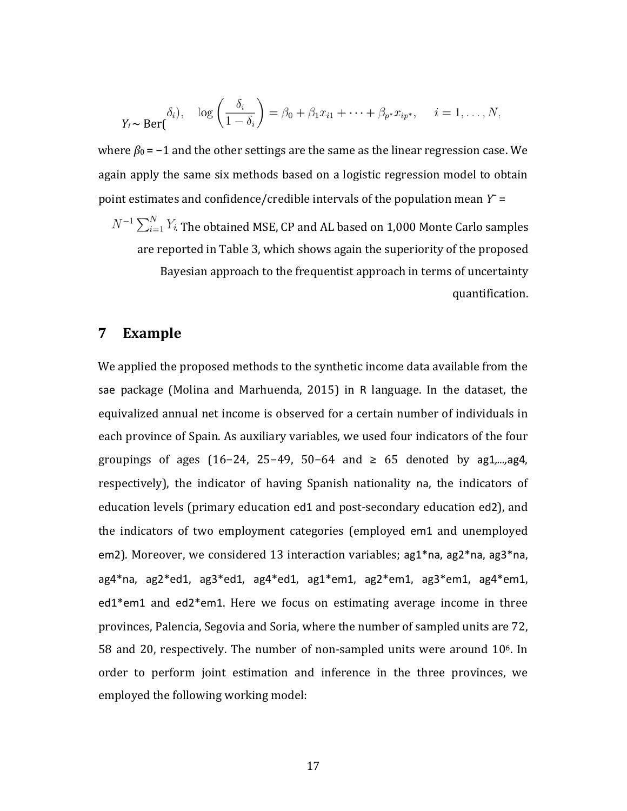$$
Y_i \sim \text{Ber}(\begin{array}{c} \delta_i), & \log\left(\frac{\delta_i}{1-\delta_i}\right) = \beta_0 + \beta_1 x_{i1} + \dots + \beta_{p^*} x_{ip^*}, & i = 1, \dots, N, \end{array}
$$

where  $\beta_0$  =  $-1$  and the other settings are the same as the linear regression case. We again apply the same six methods based on a logistic regression model to obtain point estimates and confidence/credible intervals of the population mean  $Y =$ 

 $N^{-1}\sum_{i=1}^N Y_i$  . The obtained MSE, CP and AL based on 1,000 Monte Carlo samples are reported in Table 3, which shows again the superiority of the proposed Bayesian approach to the frequentist approach in terms of uncertainty quantification.

### **7 Example**

We applied the proposed methods to the synthetic income data available from the sae package (Molina and Marhuenda, 2015) in R language. In the dataset, the equivalized annual net income is observed for a certain number of individuals in each province of Spain. As auxiliary variables, we used four indicators of the four groupings of ages (16−24, 25−49, 50−64 and ≥ 65 denoted by ag1*,...,*ag4, respectively), the indicator of having Spanish nationality na, the indicators of education levels (primary education ed1 and post-secondary education ed2), and the indicators of two employment categories (employed em1 and unemployed em2). Moreover, we considered 13 interaction variables; ag1\*na, ag2\*na, ag3\*na, ag4\*na, ag2\*ed1, ag3\*ed1, ag4\*ed1, ag1\*em1, ag2\*em1, ag3\*em1, ag4\*em1, ed1\*em1 and ed2\*em1. Here we focus on estimating average income in three provinces, Palencia, Segovia and Soria, where the number of sampled units are 72, 58 and 20, respectively. The number of non-sampled units were around  $10<sup>6</sup>$ . In order to perform joint estimation and inference in the three provinces, we employed the following working model: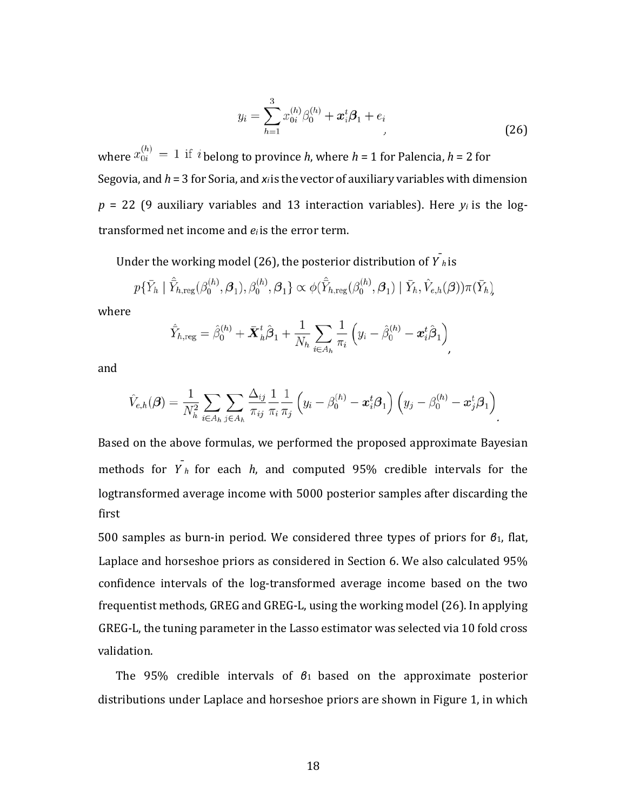$$
y_i = \sum_{h=1}^{3} x_{0i}^{(h)} \beta_0^{(h)} + x_i^t \beta_1 + e_i
$$
\n(26)

where  $x_{0i}^{(h)} = 1$  if *i* belong to province *h*, where *h* = 1 for Palencia, *h* = 2 for Segovia, and *h* = 3 for Soria, and *xi*is the vector of auxiliary variables with dimension  $p = 22$  (9 auxiliary variables and 13 interaction variables). Here  $y_i$  is the logtransformed net income and *ei* is the error term.

Under the working model (26), the posterior distribution of  $\overline{Y}_h$  is

$$
p\{\bar{Y}_h \mid \hat{\bar{Y}}_{h,\mathrm{reg}}(\beta_0^{(h)},\boldsymbol{\beta}_1),\beta_0^{(h)},\boldsymbol{\beta}_1\} \propto \phi(\hat{\bar{Y}}_{h,\mathrm{reg}}(\beta_0^{(h)},\boldsymbol{\beta}_1) \mid \bar{Y}_h, \hat{V}_{e,h}(\boldsymbol{\beta}))\pi(\bar{Y}_h)
$$

where

$$
\hat{\bar{Y}}_{h,\mathrm{reg}}=\hat{\beta}_0^{(h)}+\bar{\boldsymbol{X}}_h^t\hat{\boldsymbol{\beta}}_1+\frac{1}{N_h}\sum_{i\in A_h}\frac{1}{\pi_i}\left(y_i-\hat{\beta}_0^{(h)}-\boldsymbol{x}_i^t\hat{\boldsymbol{\beta}}_1\right),
$$

and

$$
\hat{V}_{e,h}(\boldsymbol{\beta}) = \frac{1}{N_h^2} \sum_{i \in A_h} \sum_{j \in A_h} \frac{\Delta_{ij}}{\pi_{ij}} \frac{1}{\pi_i} \frac{1}{\pi_j} \left( y_i - \beta_0^{(h)} - \boldsymbol{x}_i^t \boldsymbol{\beta}_1 \right) \left( y_j - \beta_0^{(h)} - \boldsymbol{x}_j^t \boldsymbol{\beta}_1 \right).
$$

Based on the above formulas, we performed the proposed approximate Bayesian methods for  $\overline{Y}_h$  for each *h*, and computed 95% credible intervals for the logtransformed average income with 5000 posterior samples after discarding the first

500 samples as burn-in period. We considered three types of priors for *β*1, flat, Laplace and horseshoe priors as considered in Section 6. We also calculated 95% confidence intervals of the log-transformed average income based on the two frequentist methods, GREG and GREG-L, using the working model (26). In applying GREG-L, the tuning parameter in the Lasso estimator was selected via 10 fold cross validation.

The 95% credible intervals of *β*1 based on the approximate posterior distributions under Laplace and horseshoe priors are shown in Figure 1, in which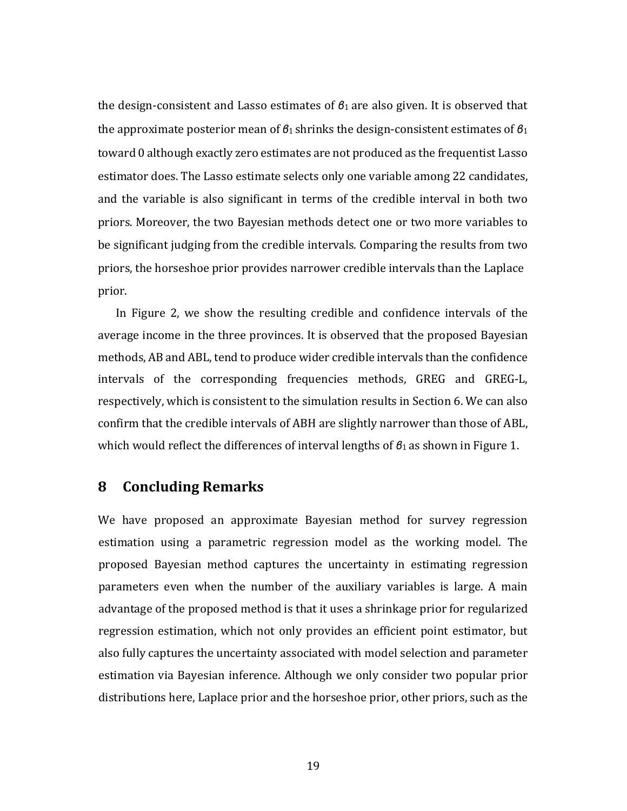the design-consistent and Lasso estimates of *β*1 are also given. It is observed that the approximate posterior mean of *β*1 shrinks the design-consistent estimates of *β*<sup>1</sup> toward 0 although exactly zero estimates are not produced as the frequentist Lasso estimator does. The Lasso estimate selects only one variable among 22 candidates, and the variable is also significant in terms of the credible interval in both two priors. Moreover, the two Bayesian methods detect one or two more variables to be significant judging from the credible intervals. Comparing the results from two priors, the horseshoe prior provides narrower credible intervals than the Laplace prior.

In Figure 2, we show the resulting credible and confidence intervals of the average income in the three provinces. It is observed that the proposed Bayesian methods, AB and ABL, tend to produce wider credible intervals than the confidence intervals of the corresponding frequencies methods, GREG and GREG-L, respectively, which is consistent to the simulation results in Section 6. We can also confirm that the credible intervals of ABH are slightly narrower than those of ABL, which would reflect the differences of interval lengths of *β*1 as shown in Figure 1.

# **8 Concluding Remarks**

We have proposed an approximate Bayesian method for survey regression estimation using a parametric regression model as the working model. The proposed Bayesian method captures the uncertainty in estimating regression parameters even when the number of the auxiliary variables is large. A main advantage of the proposed method is that it uses a shrinkage prior for regularized regression estimation, which not only provides an efficient point estimator, but also fully captures the uncertainty associated with model selection and parameter estimation via Bayesian inference. Although we only consider two popular prior distributions here, Laplace prior and the horseshoe prior, other priors, such as the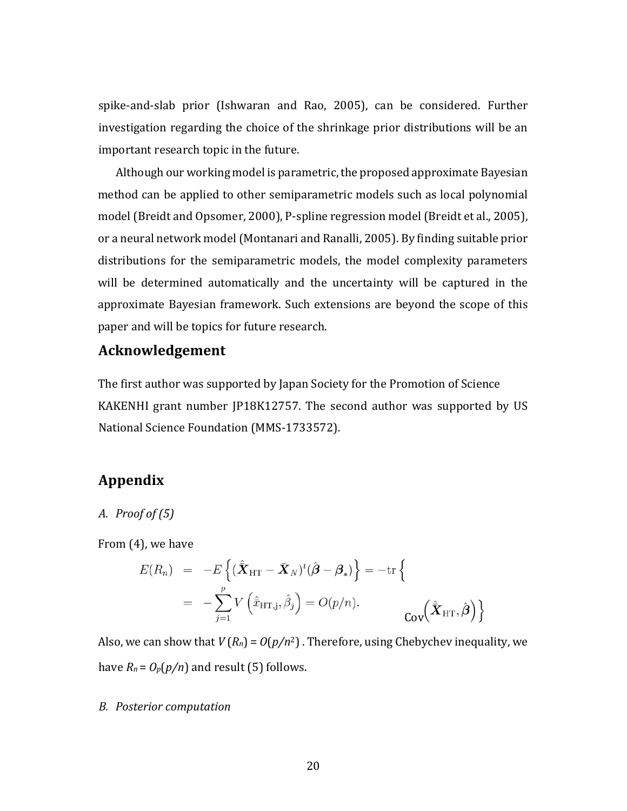spike-and-slab prior (Ishwaran and Rao, 2005), can be considered. Further investigation regarding the choice of the shrinkage prior distributions will be an important research topic in the future.

Although our working model is parametric, the proposed approximate Bayesian method can be applied to other semiparametric models such as local polynomial model (Breidt and Opsomer, 2000), P-spline regression model (Breidt et al., 2005), or a neural network model (Montanari and Ranalli, 2005). By finding suitable prior distributions for the semiparametric models, the model complexity parameters will be determined automatically and the uncertainty will be captured in the approximate Bayesian framework. Such extensions are beyond the scope of this paper and will be topics for future research.

# **Acknowledgement**

The first author was supported by Japan Society for the Promotion of Science KAKENHI grant number JP18K12757. The second author was supported by US National Science Foundation (MMS-1733572).

# **Appendix**

### *A. Proof of (5)*

From (4), we have

$$
E(R_n) = -E\left\{ (\hat{\bar{X}}_{HT} - \bar{X}_N)^t (\hat{\beta} - \beta_*) \right\} = -\text{tr} \left\{ = -\sum_{j=1}^p V\left(\hat{\bar{x}}_{HT,j}, \hat{\beta}_j\right) = O(p/n). \qquad \text{Cov}(\hat{\bar{X}}_{HT}, \hat{\beta}) \right\}
$$

Also, we can show that  $V(R_n) = O(p/n^2)$ . Therefore, using Chebychev inequality, we have  $R_n = O_p(p/n)$  and result (5) follows.

#### *B. Posterior computation*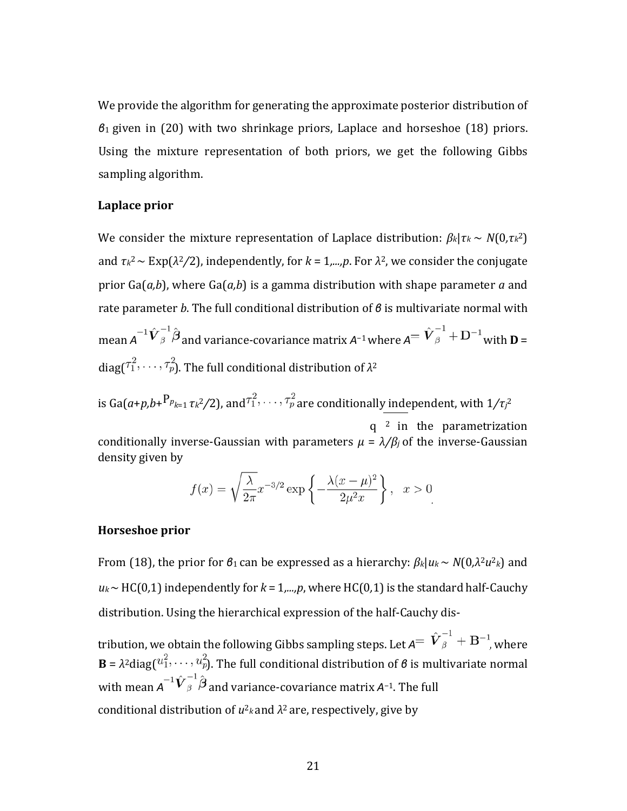We provide the algorithm for generating the approximate posterior distribution of *β*1 given in (20) with two shrinkage priors, Laplace and horseshoe (18) priors. Using the mixture representation of both priors, we get the following Gibbs sampling algorithm.

### **Laplace prior**

We consider the mixture representation of Laplace distribution:  $\beta_k | \tau_k \sim N(0, \tau_k^2)$ and  $\tau_k^2 \sim \text{Exp}(\lambda^2/2)$ , independently, for  $k = 1,...,p$ . For  $\lambda^2$ , we consider the conjugate prior Ga(*a,b*), where Ga(*a,b*) is a gamma distribution with shape parameter *a* and rate parameter *b*. The full conditional distribution of *β* is multivariate normal with mean  $A^{-1}\hat{V}_{\beta}^{-1}\hat{\boldsymbol{\beta}}$  and variance-covariance matrix  $A^{-1}$  where  $A^{-1}\hat{V}_{\beta}^{-1} + D^{-1}$  with  $D =$  $diag(\tau_1^2, \ldots, \tau_p^2)$ . The full conditional distribution of  $\lambda^2$ 

is Ga( $a$ + $p$ , $b$ + $^{\rm P}$  $_{^{p_{k=1}}}$   $\tau$ *k*<sup>2</sup>/2), and $^{\tau_1^2},\cdots,^{\tau_p^2}$  are conditionally independent, with 1/ $\tau$ յ $^2$ q 2 in the parametrization

conditionally inverse-Gaussian with parameters  $\mu = \lambda/\beta_j$  of the inverse-Gaussian density given by

$$
f(x) = \sqrt{\frac{\lambda}{2\pi}} x^{-3/2} \exp\left\{-\frac{\lambda(x-\mu)^2}{2\mu^2 x}\right\}, \quad x > 0
$$

### **Horseshoe prior**

From (18), the prior for *β*1 can be expressed as a hierarchy: *βk*|*uk* ∼ *N*(0*,λ*2*u*<sup>2</sup>*k*) and *uk*∼ HC(0*,*1) independently for *k* = 1*,...,p*, where HC(0*,*1) is the standard half-Cauchy distribution. Using the hierarchical expression of the half-Cauchy dis-

tribution, we obtain the following Gibbs sampling steps. Let  $A^=$   $\hat{\boldsymbol{V}}^{-1}_{\beta}$  +  $\textbf{B}^{-1}$ , where **B** =  $\lambda^2$ diag( $u_1^2, \ldots, u_p^2$ ). The full conditional distribution of *β* is multivariate normal with mean  $A^{-1} \hat{V}_{\beta}^{-1} \hat{\beta}$  and variance-covariance matrix  $A^{-1}$ . The full conditional distribution of  $u^2$ <sub>*k*</sub> and  $\lambda^2$  are, respectively, give by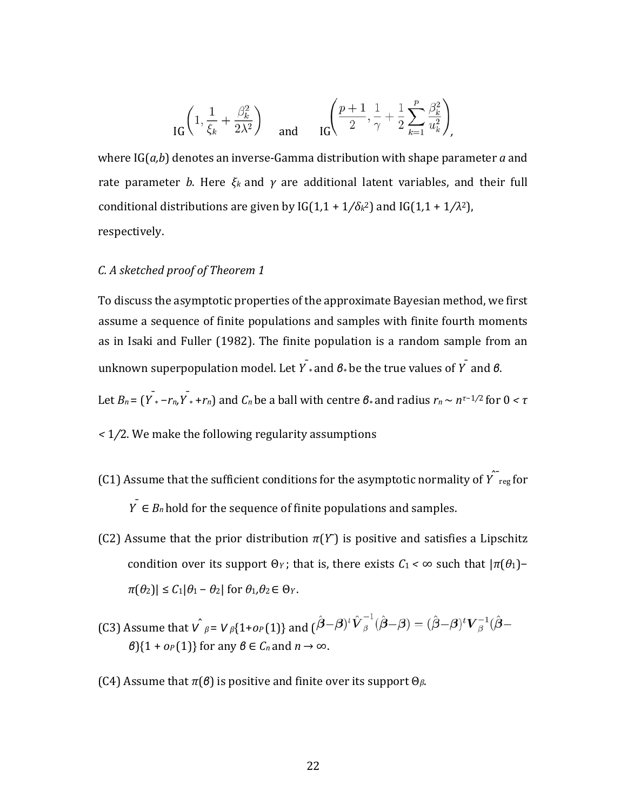$$
\text{IG}\left(1, \frac{1}{\xi_k} + \frac{\beta_k^2}{2\lambda^2}\right) \quad \text{and} \quad \text{IG}\left(\frac{p+1}{2}, \frac{1}{\gamma} + \frac{1}{2}\sum_{k=1}^p \frac{\beta_k^2}{u_k^2}\right)
$$

where IG(*a,b*) denotes an inverse-Gamma distribution with shape parameter *a* and rate parameter *b*. Here  $ξ_k$  and  $γ$  are additional latent variables, and their full conditional distributions are given by  $IG(1,1 + 1/\delta_k^2)$  and  $IG(1,1 + 1/\lambda^2)$ , respectively.

### *C. A sketched proof of Theorem 1*

To discuss the asymptotic properties of the approximate Bayesian method, we first assume a sequence of finite populations and samples with finite fourth moments as in Isaki and Fuller (1982). The finite population is a random sample from an unknown superpopulation model. Let *Y*¯ ∗ and *β*∗ be the true values of *Y*¯ and *β*.

Let  $B_n = \left(\overline{Y}_* - r_n, \overline{Y}_* + r_n\right)$  and  $C_n$  be a ball with centre  $B_*$  and radius  $r_n \sim n^{\tau-1/2}$  for  $0 < \tau$ 

- *<* 1*/*2. We make the following regularity assumptions
- (C1) Assume that the sufficient conditions for the asymptotic normality of  $\hat{\gamma_{\text{reg}}}$  for *Y* ∈ *B<sub>n</sub>* hold for the sequence of finite populations and samples.
- (C2) Assume that the prior distribution  $\pi(Y)$  is positive and satisfies a Lipschitz condition over its support Θ*<sup>Y</sup>* ; that is, there exists *C*1 *<* ∞ such that |*π*(*θ*1)−  $\pi(\theta_2)$ |  $\leq C_1|\theta_1 - \theta_2|$  for  $\theta_1, \theta_2 \in \Theta_Y$ .
- (C3) Assume that  $V$   $_{\beta} = V$   $_{\beta}$ {1+*op* (1)} and  $(\hat{\beta} \beta)^t \hat{V}_{\beta}^{-1} (\hat{\beta} \beta) = (\hat{\beta} \beta)^t V_{\beta}^{-1} (\hat{\beta} \beta)$  $\beta$ }{1 + *o<sub>P</sub>*(1)} for any  $\beta \in C_n$  and  $n \to \infty$ .
- (C4) Assume that *π*(*β*) is positive and finite over its support Θ*β*.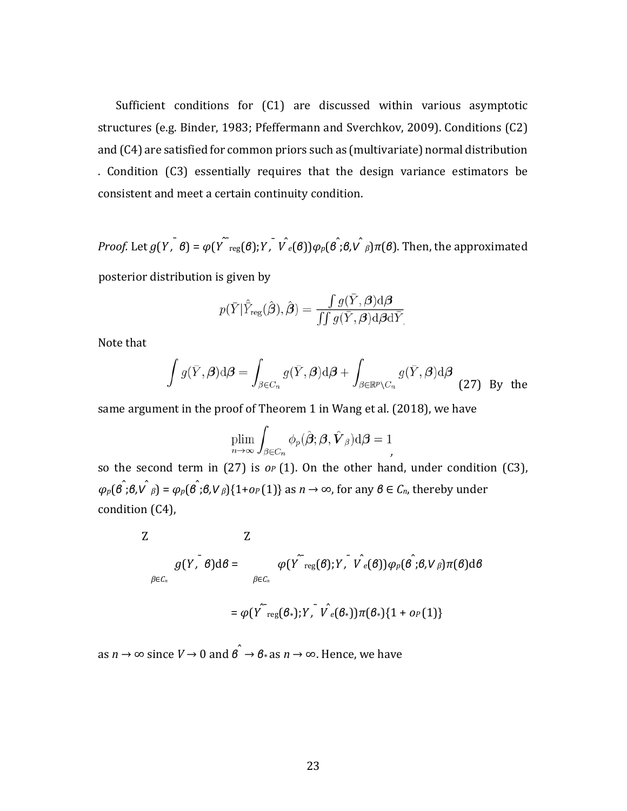Sufficient conditions for (C1) are discussed within various asymptotic structures (e.g. Binder, 1983; Pfeffermann and Sverchkov, 2009). Conditions (C2) and (C4) are satisfied for common priors such as (multivariate) normal distribution . Condition (C3) essentially requires that the design variance estimators be consistent and meet a certain continuity condition.

*Proof.* Let  $g(Y, \theta) = \varphi(Y^{\top_{reg}}(\theta); Y, \hat{V}_{e}(\theta))\varphi_{p}(\hat{\theta}, \theta, \hat{V}_{\beta})\pi(\theta)$ . Then, the approximated

posterior distribution is given by

$$
p(\bar{Y}|\hat{\bar{Y}}_\text{reg}(\hat{\boldsymbol{\beta}}),\hat{\boldsymbol{\beta}})=\frac{\int g(\bar{Y},\boldsymbol{\beta})\text{d}\boldsymbol{\beta}}{\iint g(\bar{Y},\boldsymbol{\beta})\text{d}\boldsymbol{\beta}\text{d}\bar{Y}}
$$

Note that

$$
\int g(\bar{Y}, \beta) d\beta = \int_{\beta \in C_n} g(\bar{Y}, \beta) d\beta + \int_{\beta \in \mathbb{R}^p \setminus C_n} g(\bar{Y}, \beta) d\beta
$$
 (27) By the

*.*

same argument in the proof of Theorem 1 in Wang et al. (2018), we have

$$
\lim_{n\to\infty}\int_{\beta\in C_n}\phi_p(\hat{\boldsymbol{\beta}};\boldsymbol{\beta},\hat{\boldsymbol{V}}_{\beta})\mathrm{d}\boldsymbol{\beta}=1
$$

so the second term in (27) is *oP* (1). On the other hand, under condition (C3), *<sup>φ</sup>p*(*β*<sup>ˆ</sup> ;*β,V*ˆ *β*) = *φp*(*β*<sup>ˆ</sup> ;*β,V β*){1+*oP* (1)} as *n* → ∞, for any *β* ∈ *Cn*, thereby under condition (C4),

Z  
\n
$$
g(Y, \bar{\theta})d\theta = \varphi(Y \cap \text{reg}(\theta); Y, \bar{V}_{e}(\theta))\varphi_{P}(\hat{\theta}; \theta, V_{\beta})\pi(\theta)d\theta
$$
\n
$$
= \varphi(Y \cap \text{reg}(\theta_{*}); Y, \bar{V}_{e}(\theta_{*}))\pi(\theta_{*})\{1 + o_{P}(1)\}
$$

as  $n \to \infty$  since  $V \to 0$  and  $\hat{\theta} \to \theta_*$  as  $n \to \infty$ . Hence, we have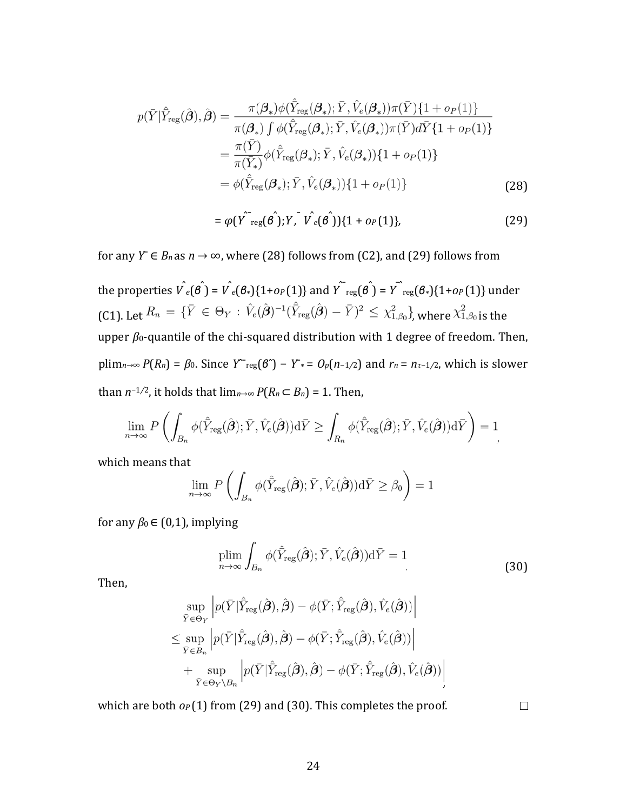$$
p(\bar{Y}|\hat{Y}_{reg}(\hat{\boldsymbol{\beta}}),\hat{\boldsymbol{\beta}}) = \frac{\pi(\boldsymbol{\beta}_{*})\phi(\hat{Y}_{reg}(\boldsymbol{\beta}_{*});\bar{Y},\hat{V}_{e}(\boldsymbol{\beta}_{*}))\pi(\bar{Y})\{1+o_{P}(1)\}}{\pi(\boldsymbol{\beta}_{*})\int \phi(\hat{Y}_{reg}(\boldsymbol{\beta}_{*});\bar{Y},\hat{V}_{e}(\boldsymbol{\beta}_{*}))\pi(\bar{Y})d\bar{Y}\{1+o_{P}(1)\}}
$$
  

$$
= \frac{\pi(\bar{Y})}{\pi(\bar{Y}_{*})}\phi(\hat{Y}_{reg}(\boldsymbol{\beta}_{*});\bar{Y},\hat{V}_{e}(\boldsymbol{\beta}_{*}))\{1+o_{P}(1)\}
$$
  

$$
= \phi(\hat{Y}_{reg}(\boldsymbol{\beta}_{*});\bar{Y},\hat{V}_{e}(\boldsymbol{\beta}_{*}))\{1+o_{P}(1)\}
$$
(28)

$$
= \varphi(Y^{T} \text{reg}(\hat{\theta})).Y, V \text{e}(\hat{\theta}))\{1 + o_{P}(1)\},
$$
 (29)

for any  $Y \in B_n$  as  $n \to \infty$ , where (28) follows from (C2), and (29) follows from

the properties  $\hat{V_{e}}(\hat{\theta}) = \hat{V_{e}}(\theta_{*})\{1+o_{P}(1)\}$  and  $\hat{Y_{reg}}(\hat{\theta}) = \hat{Y_{reg}}(\theta_{*})\{1+o_{P}(1)\}$  under (C1). Let  $R_n = \{ \bar{Y} \in \Theta_Y : \hat{V}_e(\hat{\boldsymbol{\beta}})^{-1} (\hat{\bar{Y}}_{reg}(\hat{\boldsymbol{\beta}}) - \bar{Y})^2 \leq \chi^2_{1,\beta_0} \}$ , where  $\chi^2_{1,\beta_0}$  is the upper *β*0-quantile of the chi-squared distribution with 1 degree of freedom. Then,  $plim<sub>n→∞</sub> P(R<sub>n</sub>) = β<sub>0</sub>$ . Since  $Y^{\sim}reg(β^{\sim}) - Y^* = O_p(n-1/2)$  and  $r_n = n_τ-1/2$ , which is slower than  $n^{-1/2}$ , it holds that  $\lim_{n\to\infty} P(R_n \subset B_n) = 1$ . Then,

$$
\lim_{n\to\infty} P\left(\int_{B_n} \phi(\hat{Y}_{\text{reg}}(\hat{\boldsymbol{\beta}}); \bar{Y}, \hat{V}_e(\hat{\boldsymbol{\beta}})) \mathrm{d}\bar{Y} \ge \int_{R_n} \phi(\hat{Y}_{\text{reg}}(\hat{\boldsymbol{\beta}}); \bar{Y}, \hat{V}_e(\hat{\boldsymbol{\beta}})) \mathrm{d}\bar{Y}\right) = 1
$$

which means that

$$
\lim_{n\to\infty} P\left(\int_{B_n} \phi(\hat{Y}_{\text{reg}}(\hat{\boldsymbol{\beta}}); \bar{Y}, \hat{V}_e(\hat{\boldsymbol{\beta}})) \mathrm{d}\bar{Y} \geq \beta_0\right) = 1
$$

for any  $\beta_0 \in (0,1)$ , implying

$$
\plim_{n \to \infty} \int_{B_n} \phi(\hat{Y}_{\text{reg}}(\hat{\boldsymbol{\beta}}); \bar{Y}, \hat{V}_e(\hat{\boldsymbol{\beta}})) \, \mathrm{d}\bar{Y} = 1 \tag{30}
$$

Then,

$$
\sup_{\bar{Y}\in\Theta_Y} \left| p(\bar{Y}|\hat{\bar{Y}}_{reg}(\hat{\boldsymbol{\beta}}), \hat{\boldsymbol{\beta}}) - \phi(\bar{Y}; \hat{\bar{Y}}_{reg}(\hat{\boldsymbol{\beta}}), \hat{V}_e(\hat{\boldsymbol{\beta}})) \right|
$$
\n
$$
\leq \sup_{\bar{Y}\in B_n} \left| p(\bar{Y}|\hat{\bar{Y}}_{reg}(\hat{\boldsymbol{\beta}}), \hat{\boldsymbol{\beta}}) - \phi(\bar{Y}; \hat{\bar{Y}}_{reg}(\hat{\boldsymbol{\beta}}), \hat{V}_e(\hat{\boldsymbol{\beta}})) \right|
$$
\n
$$
+ \sup_{\bar{Y}\in\Theta_Y\backslash B_n} \left| p(\bar{Y}|\hat{\bar{Y}}_{reg}(\hat{\boldsymbol{\beta}}), \hat{\boldsymbol{\beta}}) - \phi(\bar{Y}; \hat{\bar{Y}}_{reg}(\hat{\boldsymbol{\beta}}), \hat{V}_e(\hat{\boldsymbol{\beta}})) \right|
$$

which are both  $o_P(1)$  from (29) and (30). This completes the proof.

 $\Box$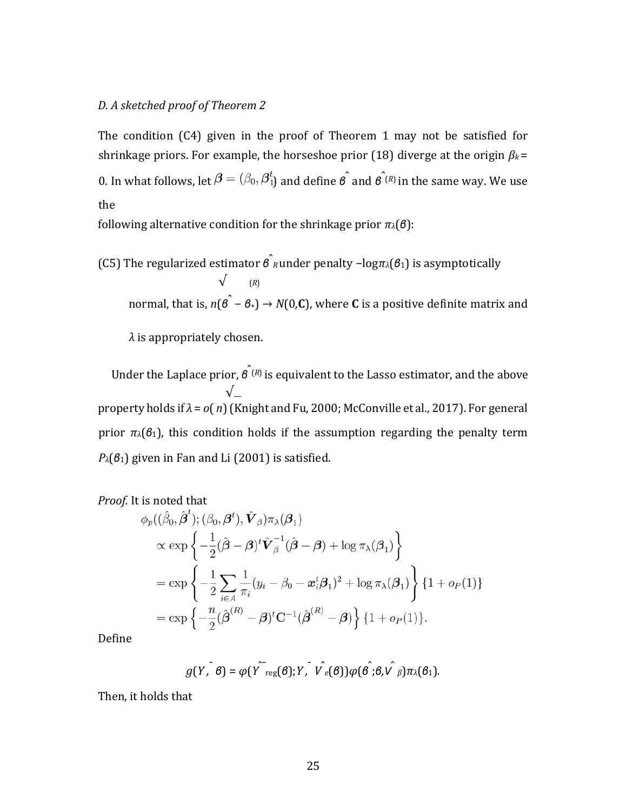### *D. A sketched proof of Theorem 2*

The condition (C4) given in the proof of Theorem 1 may not be satisfied for shrinkage priors. For example, the horseshoe prior (18) diverge at the origin *β<sup>k</sup>* = 0. In what follows, let  $\beta = (\beta_0, \beta_1^t)$  and define  $\hat{\beta}$  and  $\hat{\beta}$ <sup> $\hat{\beta}$ </sup> in the same way. We use the

following alternative condition for the shrinkage prior *πλ*(*β*):

(C5) The regularized estimator *β*<sup>ˆ</sup> *<sup>R</sup>* under penalty −log*πλ*(*β*1) is asymptotically √ (*R*) normal, that is, *n*(*β*ˆ − *β*∗) → *N*(0*,***C**), where **<sup>C</sup>** is a positive definite matrix and *λ* is appropriately chosen.

Under the Laplace prior, *β*ˆ(*R*) is equivalent to the Lasso estimator, and the above √ property holds if *λ* = *o*( *n*) (Knight and Fu, 2000; McConville et al., 2017). For general prior  $\pi_\lambda(\theta_1)$ , this condition holds if the assumption regarding the penalty term *P* $<sub>λ</sub>(*β*<sub>1</sub>)$  given in Fan and Li (2001) is satisfied.</sub>

*Proof.* It is noted that 
$$
\hat{a}^{\dagger}
$$

$$
\phi_p((\hat{\beta}_0, \hat{\boldsymbol{\beta}}^t); (\beta_0, \boldsymbol{\beta}^t), \hat{\boldsymbol{V}}_{\boldsymbol{\beta}}) \pi_{\lambda}(\boldsymbol{\beta}_1) \n\times \exp \left\{ -\frac{1}{2} (\hat{\boldsymbol{\beta}} - \boldsymbol{\beta})^t \hat{\boldsymbol{V}}_{\boldsymbol{\beta}}^{-1} (\hat{\boldsymbol{\beta}} - \boldsymbol{\beta}) + \log \pi_{\lambda}(\boldsymbol{\beta}_1) \right\} \n= \exp \left\{ -\frac{1}{2} \sum_{i \in A} \frac{1}{\pi_i} (y_i - \beta_0 - \boldsymbol{x}_i^t \boldsymbol{\beta}_1)^2 + \log \pi_{\lambda}(\boldsymbol{\beta}_1) \right\} \{1 + o_P(1)\} \n= \exp \left\{ -\frac{n}{2} (\hat{\boldsymbol{\beta}}^{(R)} - \boldsymbol{\beta})^t \mathbf{C}^{-1} (\hat{\boldsymbol{\beta}}^{(R)} - \boldsymbol{\beta}) \right\} \{1 + o_P(1)\}.
$$

Define

$$
g(Y, \mathbf{B}) = \varphi(Y^{\sim_{reg}}(\mathbf{\theta}); Y, \mathbf{V}_{e}(\mathbf{\theta}))\varphi(\mathbf{\theta}^{\sim}; \mathbf{\theta}, \mathbf{V}_{\beta})\pi_{\lambda}(\mathbf{\theta}_{1}).
$$

Then, it holds that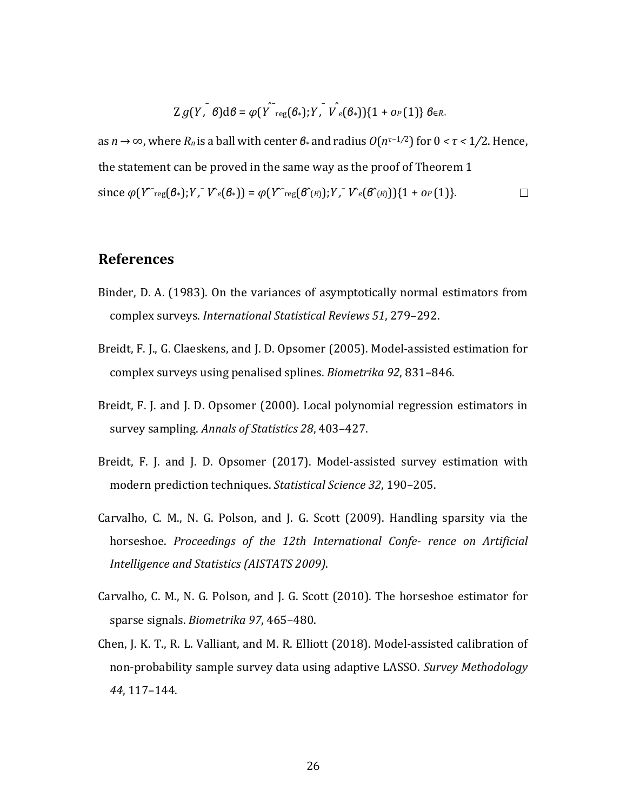$$
Zg(Y, \mathcal{B})d\theta = \varphi(Y^{\sim}\text{reg}(\theta_{*}); Y, \mathcal{V}_{e}(\theta_{*}))\{1+o_{P}(1)\}\theta \in R_{n}
$$

as *n* → ∞, where *Rn* is a ball with center *β*∗ and radius *O*(*nτ*−1*/*2) for 0 *< τ <* 1*/*2. Hence, the statement can be proved in the same way as the proof of Theorem 1  $\text{since } \varphi(Y^{\sim_{reg}}(\mathcal{B}_{*}); Y, \ V^{\sim_{e}}(\mathcal{B}_{*})) = \varphi(Y^{\sim_{reg}}(\mathcal{B}_{(R)}^{\sim}); Y, \ V^{\sim_{e}}(\mathcal{B}_{(R)}^{\sim}))\{1 + \varphi(P(1)\}.$  $\Box$ 

### **References**

- Binder, D. A. (1983). On the variances of asymptotically normal estimators from complex surveys. *International Statistical Reviews 51*, 279–292.
- Breidt, F. J., G. Claeskens, and J. D. Opsomer (2005). Model-assisted estimation for complex surveys using penalised splines. *Biometrika 92*, 831–846.
- Breidt, F. J. and J. D. Opsomer (2000). Local polynomial regression estimators in survey sampling. *Annals of Statistics 28*, 403–427.
- Breidt, F. J. and J. D. Opsomer (2017). Model-assisted survey estimation with modern prediction techniques. *Statistical Science 32*, 190–205.
- Carvalho, C. M., N. G. Polson, and J. G. Scott (2009). Handling sparsity via the horseshoe. *Proceedings of the 12th International Confe‐ rence on Artificial Intelligence and Statistics (AISTATS 2009)*.
- Carvalho, C. M., N. G. Polson, and J. G. Scott (2010). The horseshoe estimator for sparse signals. *Biometrika 97*, 465–480.
- Chen, J. K. T., R. L. Valliant, and M. R. Elliott (2018). Model-assisted calibration of non-probability sample survey data using adaptive LASSO. *Survey Methodology 44*, 117–144.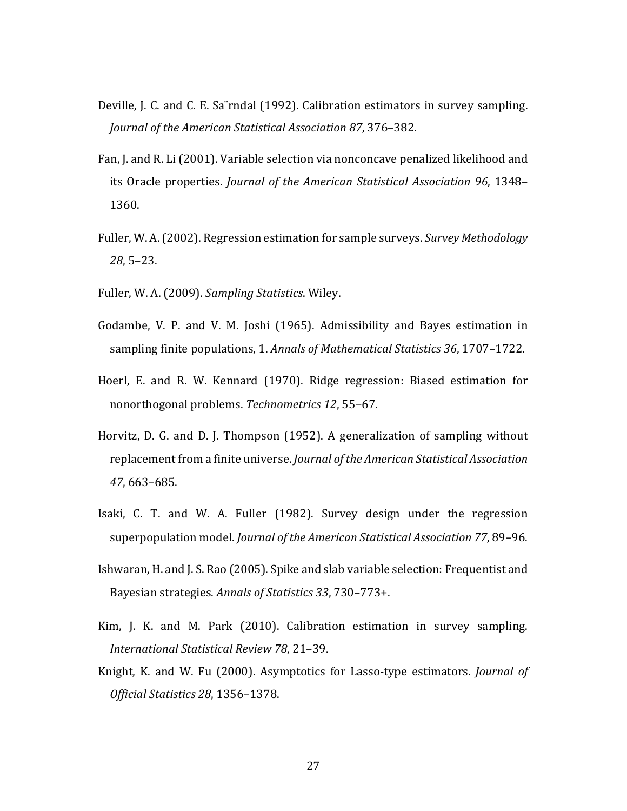- Deville, J. C. and C. E. Sa¨rndal (1992). Calibration estimators in survey sampling. *Journal of the American Statistical Association 87*, 376–382.
- Fan, J. and R. Li (2001). Variable selection via nonconcave penalized likelihood and its Oracle properties. *Journal of the American Statistical Association 96*, 1348– 1360.
- Fuller, W. A. (2002). Regression estimation for sample surveys. *Survey Methodology 28*, 5–23.
- Fuller, W. A. (2009). *Sampling Statistics*. Wiley.
- Godambe, V. P. and V. M. Joshi (1965). Admissibility and Bayes estimation in sampling finite populations, 1. *Annals of Mathematical Statistics 36*, 1707–1722.
- Hoerl, E. and R. W. Kennard (1970). Ridge regression: Biased estimation for nonorthogonal problems. *Technometrics 12*, 55–67.
- Horvitz, D. G. and D. J. Thompson (1952). A generalization of sampling without replacement from a finite universe. *Journal of the American Statistical Association 47*, 663–685.
- Isaki, C. T. and W. A. Fuller (1982). Survey design under the regression superpopulation model. *Journal of the American Statistical Association 77*, 89–96.
- Ishwaran, H. and J. S. Rao (2005). Spike and slab variable selection: Frequentist and Bayesian strategies. *Annals of Statistics 33*, 730–773+.
- Kim, J. K. and M. Park (2010). Calibration estimation in survey sampling. *International Statistical Review 78*, 21–39.
- Knight, K. and W. Fu (2000). Asymptotics for Lasso-type estimators. *Journal of Official Statistics 28*, 1356–1378.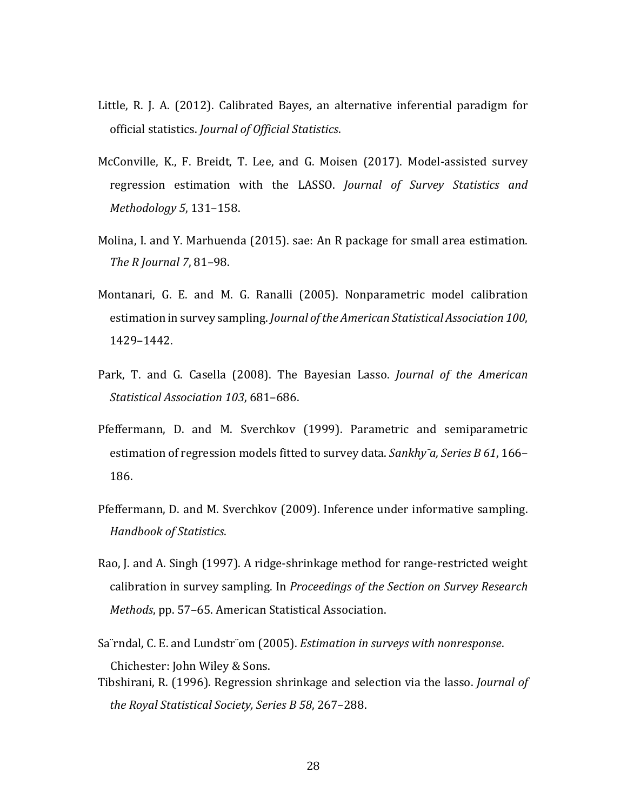- Little, R. J. A. (2012). Calibrated Bayes, an alternative inferential paradigm for official statistics. *Journal of Official Statistics*.
- McConville, K., F. Breidt, T. Lee, and G. Moisen (2017). Model-assisted survey regression estimation with the LASSO. *Journal of Survey Statistics and Methodology 5*, 131–158.
- Molina, I. and Y. Marhuenda (2015). sae: An R package for small area estimation. *The R Journal 7*, 81–98.
- Montanari, G. E. and M. G. Ranalli (2005). Nonparametric model calibration estimation in survey sampling. *Journal ofthe American Statistical Association 100*, 1429–1442.
- Park, T. and G. Casella (2008). The Bayesian Lasso. *Journal of the American Statistical Association 103*, 681–686.
- Pfeffermann, D. and M. Sverchkov (1999). Parametric and semiparametric estimation of regression models fitted to survey data. *Sankhy¯a, Series B 61*, 166– 186.
- Pfeffermann, D. and M. Sverchkov (2009). Inference under informative sampling. *Handbook of Statistics*.
- Rao, J. and A. Singh (1997). A ridge-shrinkage method for range-restricted weight calibration in survey sampling. In *Proceedings of the Section on Survey Research Methods*, pp. 57–65. American Statistical Association.
- Sa¨rndal, C. E. and Lundstr¨om (2005). *Estimation in surveys with nonresponse*. Chichester: John Wiley & Sons.
- Tibshirani, R. (1996). Regression shrinkage and selection via the lasso. *Journal of the Royal Statistical Society, Series B 58*, 267–288.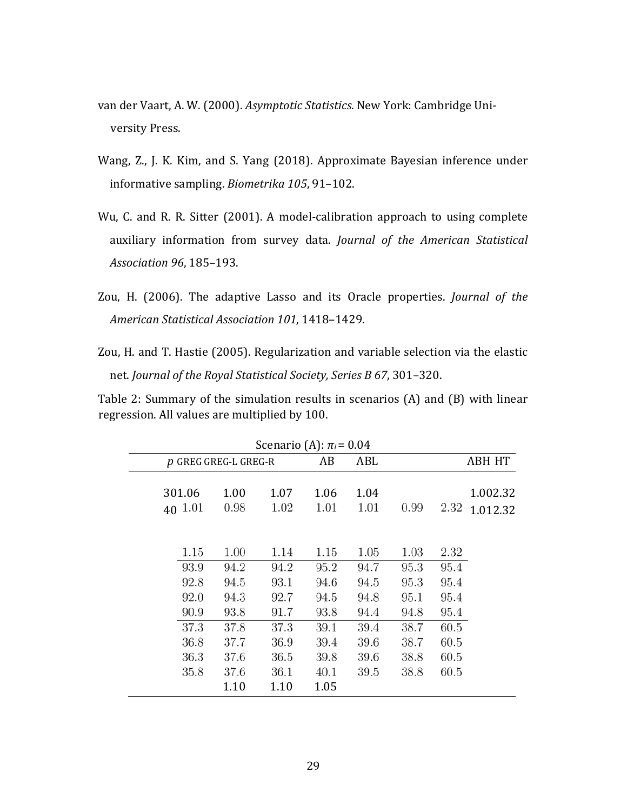- van der Vaart, A. W. (2000). *Asymptotic Statistics*. New York: Cambridge University Press.
- Wang, Z., J. K. Kim, and S. Yang (2018). Approximate Bayesian inference under informative sampling. *Biometrika 105*, 91–102.
- Wu, C. and R. R. Sitter (2001). A model-calibration approach to using complete auxiliary information from survey data. *Journal of the American Statistical Association 96*, 185–193.
- Zou, H. (2006). The adaptive Lasso and its Oracle properties. *Journal of the American Statistical Association 101*, 1418–1429.
- Zou, H. and T. Hastie (2005). Regularization and variable selection via the elastic net. *Journal of the Royal Statistical Society, Series B 67*, 301–320.

Table 2: Summary of the simulation results in scenarios (A) and (B) with linear regression. All values are multiplied by 100.

| Scenario (A): $\pi_i$ = 0.04 |                                      |                                      |                                      |                                      |                                      |                                      |                                      |                      |  |
|------------------------------|--------------------------------------|--------------------------------------|--------------------------------------|--------------------------------------|--------------------------------------|--------------------------------------|--------------------------------------|----------------------|--|
|                              | $p$ GREG GREG-L GREG-R               |                                      |                                      | AB                                   | ABL                                  |                                      |                                      | <b>ABH HT</b>        |  |
|                              | 301.06<br>40 1.01                    | 1.00<br>0.98                         | 1.07<br>1.02                         | 1.06<br>1.01                         | 1.04<br>1.01                         | 0.99                                 | 2.32                                 | 1.002.32<br>1.012.32 |  |
|                              | 1.15<br>93.9<br>92.8<br>92.0         | 1.00<br>94.2<br>94.5<br>94.3         | 1.14<br>94.2<br>93.1<br>92.7         | 1.15<br>95.2<br>94.6<br>94.5         | 1.05<br>94.7<br>94.5<br>94.8         | 1.03<br>95.3<br>95.3<br>95.1         | 2.32<br>95.4<br>95.4<br>95.4         |                      |  |
|                              | 90.9<br>37.3<br>36.8<br>36.3<br>35.8 | 93.8<br>37.8<br>37.7<br>37.6<br>37.6 | 91.7<br>37.3<br>36.9<br>36.5<br>36.1 | 93.8<br>39.1<br>39.4<br>39.8<br>40.1 | 94.4<br>39.4<br>39.6<br>39.6<br>39.5 | 94.8<br>38.7<br>38.7<br>38.8<br>38.8 | 95.4<br>60.5<br>60.5<br>60.5<br>60.5 |                      |  |
|                              |                                      | 1.10                                 | 1.10                                 | 1.05                                 |                                      |                                      |                                      |                      |  |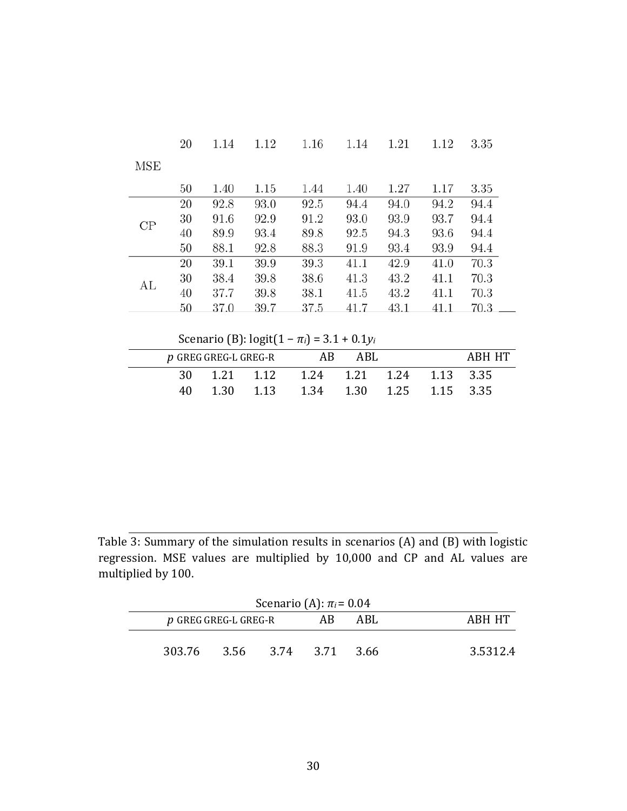|     | 20 | 1.14 | 1.12 | 1.16 | 1.14 | 1.21 | 1.12 | 3.35 |
|-----|----|------|------|------|------|------|------|------|
| MSE |    |      |      |      |      |      |      |      |
|     | 50 | 1.40 | 1.15 | 1.44 | 1.40 | 1.27 | 1.17 | 3.35 |
|     | 20 | 92.8 | 93.0 | 92.5 | 94.4 | 94.0 | 94.2 | 94.4 |
| CP  | 30 | 91.6 | 92.9 | 91.2 | 93.0 | 93.9 | 93.7 | 94.4 |
|     | 40 | 89.9 | 93.4 | 89.8 | 92.5 | 94.3 | 93.6 | 94.4 |
|     | 50 | 88.1 | 92.8 | 88.3 | 91.9 | 93.4 | 93.9 | 94.4 |
|     | 20 | 39.1 | 39.9 | 39.3 | 41.1 | 42.9 | 41.0 | 70.3 |
| AL  | 30 | 38.4 | 39.8 | 38.6 | 41.3 | 43.2 | 41.1 | 70.3 |
|     | 40 | 37.7 | 39.8 | 38.1 | 41.5 | 43.2 | 41.1 | 70.3 |
|     | 50 | 37.0 | 39.7 | 37.5 | 41.7 | 43.1 | 41.1 | 70.3 |

Scenario (B): logit(1 − *πi*) = 3*.*1 + 0*.*1*yi*

| $p$ GREG GREG-L GREG-R |  |  | AB                                    | ABL |  | ARH HT |
|------------------------|--|--|---------------------------------------|-----|--|--------|
|                        |  |  | 30 1.21 1.12 1.24 1.21 1.24 1.13 3.35 |     |  |        |
| 40.                    |  |  | 1.30 1.13 1.34 1.30 1.25 1.15 3.35    |     |  |        |

Table 3: Summary of the simulation results in scenarios (A) and (B) with logistic regression. MSE values are multiplied by 10,000 and CP and AL values are multiplied by 100.

|        |                        | Scenario (A): $\pi_i$ = 0.04 |                     |  |  |  |  |  |  |  |  |
|--------|------------------------|------------------------------|---------------------|--|--|--|--|--|--|--|--|
|        | AB.                    | ABL.                         | ARH HT              |  |  |  |  |  |  |  |  |
|        |                        |                              | 3.5312.4            |  |  |  |  |  |  |  |  |
| 303.76 | $p$ GREG GREG-L GREG-R |                              | 3.56 3.74 3.71 3.66 |  |  |  |  |  |  |  |  |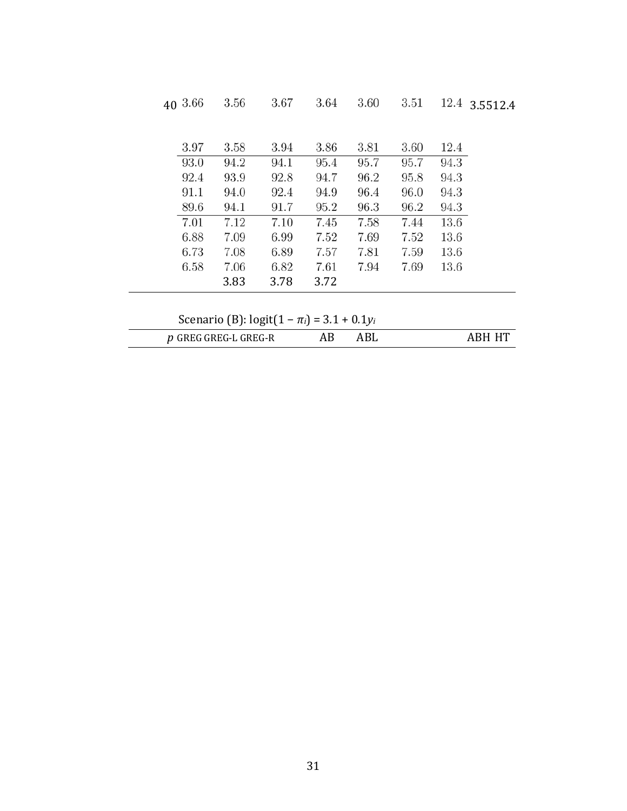|                                                 | 40 3.66            | 3.56 | 3.67 | 3.64 | 3.60 | 3.51 | 12.4 | 3.5512.4 |  |
|-------------------------------------------------|--------------------|------|------|------|------|------|------|----------|--|
|                                                 |                    |      |      |      |      |      |      |          |  |
|                                                 | 3.97               | 3.58 | 3.94 | 3.86 | 3.81 | 3.60 | 12.4 |          |  |
|                                                 | 93.0               | 94.2 | 94.1 | 95.4 | 95.7 | 95.7 | 94.3 |          |  |
|                                                 | 92.4               | 93.9 | 92.8 | 94.7 | 96.2 | 95.8 | 94.3 |          |  |
|                                                 | 91.1               | 94.0 | 92.4 | 94.9 | 96.4 | 96.0 | 94.3 |          |  |
|                                                 | 89.6               | 94.1 | 91.7 | 95.2 | 96.3 | 96.2 | 94.3 |          |  |
|                                                 | 7.01               | 7.12 | 7.10 | 7.45 | 7.58 | 7.44 | 13.6 |          |  |
|                                                 | 6.88               | 7.09 | 6.99 | 7.52 | 7.69 | 7.52 | 13.6 |          |  |
|                                                 | 6.73               | 7.08 | 6.89 | 7.57 | 7.81 | 7.59 | 13.6 |          |  |
|                                                 | 6.58               | 7.06 | 6.82 | 7.61 | 7.94 | 7.69 | 13.6 |          |  |
|                                                 |                    | 3.83 | 3.78 | 3.72 |      |      |      |          |  |
|                                                 |                    |      |      |      |      |      |      |          |  |
| Scenario (B): $logit(1 - \pi_i) = 3.1 + 0.1y_i$ |                    |      |      |      |      |      |      |          |  |
| $\boldsymbol{v}$                                | GREG GREG-L GREG-R |      |      | AB   | ABL  |      |      | АВН НТ   |  |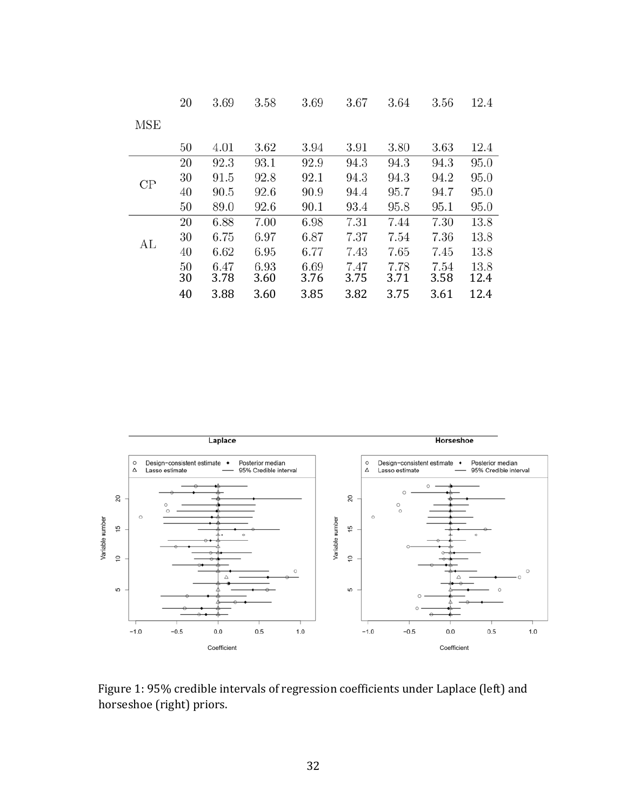|          | 20 | 3.69 | 3.58 | 3.69 | 3.67 | 3.64 | 3.56 | 12.4 |
|----------|----|------|------|------|------|------|------|------|
| MSE      |    |      |      |      |      |      |      |      |
|          | 50 | 4.01 | 3.62 | 3.94 | 3.91 | 3.80 | 3.63 | 12.4 |
|          | 20 | 92.3 | 93.1 | 92.9 | 94.3 | 94.3 | 94.3 | 95.0 |
| $\rm CP$ | 30 | 91.5 | 92.8 | 92.1 | 94.3 | 94.3 | 94.2 | 95.0 |
|          | 40 | 90.5 | 92.6 | 90.9 | 94.4 | 95.7 | 94.7 | 95.0 |
|          | 50 | 89.0 | 92.6 | 90.1 | 93.4 | 95.8 | 95.1 | 95.0 |
|          | 20 | 6.88 | 7.00 | 6.98 | 7.31 | 7.44 | 7.30 | 13.8 |
| AL       | 30 | 6.75 | 6.97 | 6.87 | 7.37 | 7.54 | 7.36 | 13.8 |
|          | 40 | 6.62 | 6.95 | 6.77 | 7.43 | 7.65 | 7.45 | 13.8 |
|          | 50 | 6.47 | 6.93 | 6.69 | 7.47 | 7.78 | 7.54 | 13.8 |
|          | 30 | 3.78 | 3.60 | 3.76 | 3.75 | 3.71 | 3.58 | 12.4 |
|          | 40 | 3.88 | 3.60 | 3.85 | 3.82 | 3.75 | 3.61 | 12.4 |



Figure 1: 95% credible intervals of regression coefficients under Laplace (left) and horseshoe (right) priors.